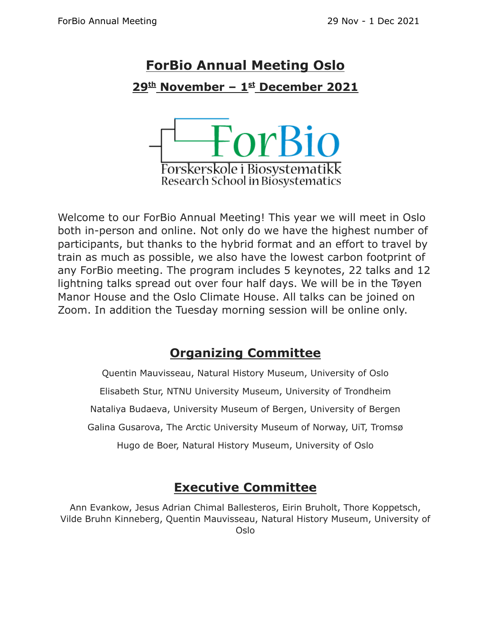# **ForBio Annual Meeting Oslo 29 th November – 1 st December 2021**



Welcome to our ForBio Annual Meeting! This year we will meet in Oslo both in-person and online. Not only do we have the highest number of participants, but thanks to the hybrid format and an effort to travel by train as much as possible, we also have the lowest carbon footprint of any ForBio meeting. The program includes 5 keynotes, 22 talks and 12 lightning talks spread out over four half days. We will be in the Tøyen Manor House and the Oslo Climate House. All talks can be joined on Zoom. In addition the Tuesday morning session will be online only.

# **Organizing Committee**

Quentin Mauvisseau, Natural History Museum, University of Oslo Elisabeth Stur, NTNU University Museum, University of Trondheim Nataliya Budaeva, University Museum of Bergen, University of Bergen Galina Gusarova, The Arctic University Museum of Norway, UiT, Tromsø Hugo de Boer, Natural History Museum, University of Oslo

### **Executive Committee**

Ann Evankow, Jesus Adrian Chimal Ballesteros, Eirin Bruholt, Thore Koppetsch, Vilde Bruhn Kinneberg, Quentin Mauvisseau, Natural History Museum, University of Oslo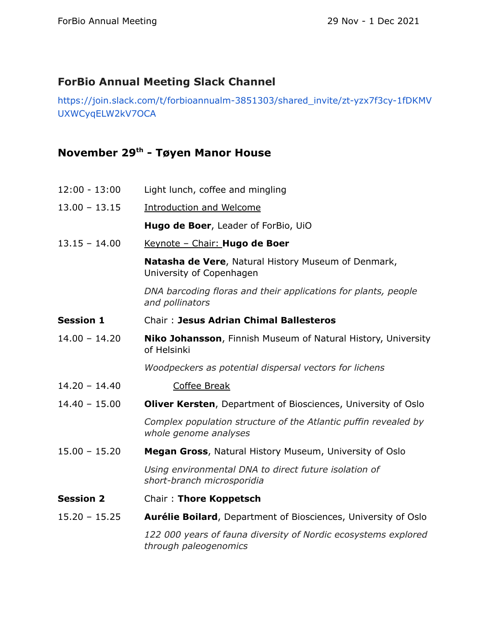#### **ForBio Annual Meeting Slack Channel**

[https://join.slack.com/t/forbioannualm-3851303/shared\\_invite/zt-yzx7f3cy-1fDKMV](https://join.slack.com/t/forbioannualm-3851303/shared_invite/zt-yzx7f3cy-1fDKMVUXWCyqELW2kV7OCA) [UXWCyqELW2kV7OCA](https://join.slack.com/t/forbioannualm-3851303/shared_invite/zt-yzx7f3cy-1fDKMVUXWCyqELW2kV7OCA)

#### **November 29 th - Tøyen Manor House**

| $12:00 - 13:00$  | Light lunch, coffee and mingling                                                         |
|------------------|------------------------------------------------------------------------------------------|
| $13.00 - 13.15$  | <b>Introduction and Welcome</b>                                                          |
|                  | Hugo de Boer, Leader of ForBio, UiO                                                      |
| $13.15 - 14.00$  | Keynote - Chair: Hugo de Boer                                                            |
|                  | Natasha de Vere, Natural History Museum of Denmark,<br>University of Copenhagen          |
|                  | DNA barcoding floras and their applications for plants, people<br>and pollinators        |
| <b>Session 1</b> | <b>Chair: Jesus Adrian Chimal Ballesteros</b>                                            |
| $14.00 - 14.20$  | Niko Johansson, Finnish Museum of Natural History, University<br>of Helsinki             |
|                  | Woodpeckers as potential dispersal vectors for lichens                                   |
| $14.20 - 14.40$  | <b>Coffee Break</b>                                                                      |
| $14.40 - 15.00$  | <b>Oliver Kersten, Department of Biosciences, University of Oslo</b>                     |
|                  | Complex population structure of the Atlantic puffin revealed by<br>whole genome analyses |
| $15.00 - 15.20$  | Megan Gross, Natural History Museum, University of Oslo                                  |
|                  | Using environmental DNA to direct future isolation of<br>short-branch microsporidia      |
| <b>Session 2</b> | Chair: Thore Koppetsch                                                                   |
| $15.20 - 15.25$  | <b>Aurélie Boilard, Department of Biosciences, University of Oslo</b>                    |
|                  | 122 000 years of fauna diversity of Nordic ecosystems explored<br>through paleogenomics  |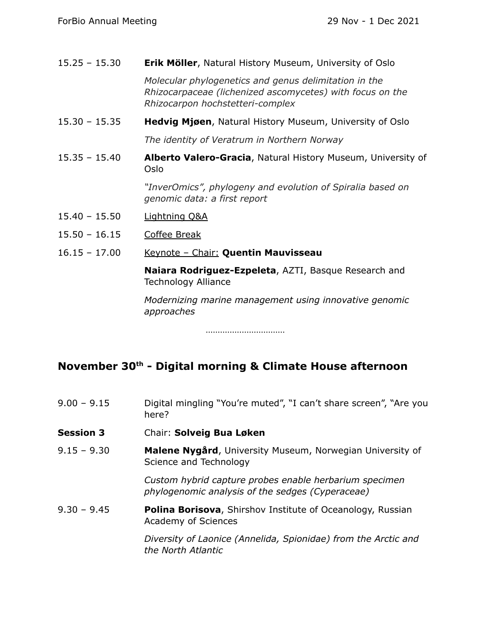| $15.25 - 15.30$ | <b>Erik Möller, Natural History Museum, University of Oslo</b>                                                                                         |
|-----------------|--------------------------------------------------------------------------------------------------------------------------------------------------------|
|                 | Molecular phylogenetics and genus delimitation in the<br>Rhizocarpaceae (lichenized ascomycetes) with focus on the<br>Rhizocarpon hochstetteri-complex |
| $15.30 - 15.35$ | <b>Hedvig Mjøen, Natural History Museum, University of Oslo</b>                                                                                        |
|                 | The identity of Veratrum in Northern Norway                                                                                                            |
| $15.35 - 15.40$ | <b>Alberto Valero-Gracia, Natural History Museum, University of</b><br>Oslo                                                                            |
|                 | "InverOmics", phylogeny and evolution of Spiralia based on<br>genomic data: a first report                                                             |
| $15.40 - 15.50$ | <b>Lightning Q&amp;A</b>                                                                                                                               |
| $15.50 - 16.15$ | <b>Coffee Break</b>                                                                                                                                    |
| $16.15 - 17.00$ | Keynote - Chair: Quentin Mauvisseau                                                                                                                    |
|                 | Naiara Rodriguez-Ezpeleta, AZTI, Basque Research and<br><b>Technology Alliance</b>                                                                     |
|                 | Modernizing marine management using innovative genomic<br>approaches                                                                                   |
|                 |                                                                                                                                                        |

……………………………

#### **November 30 th - Digital morning & Climate House afternoon**

| $9.00 - 9.15$ | Digital mingling "You're muted", "I can't share screen", "Are you |
|---------------|-------------------------------------------------------------------|
|               | here?                                                             |

- **Session 3** Chair: **Solveig Bua Løken**
- 9.15 9.30 **Malene Nygård**, University Museum, Norwegian University of Science and Technology

*Custom hybrid capture probes enable herbarium specimen phylogenomic analysis of the sedges (Cyperaceae)*

9.30 – 9.45 **Polina Borisova**, Shirshov Institute of Oceanology, Russian Academy of Sciences

> *Diversity of Laonice (Annelida, Spionidae) from the Arctic and the North Atlantic*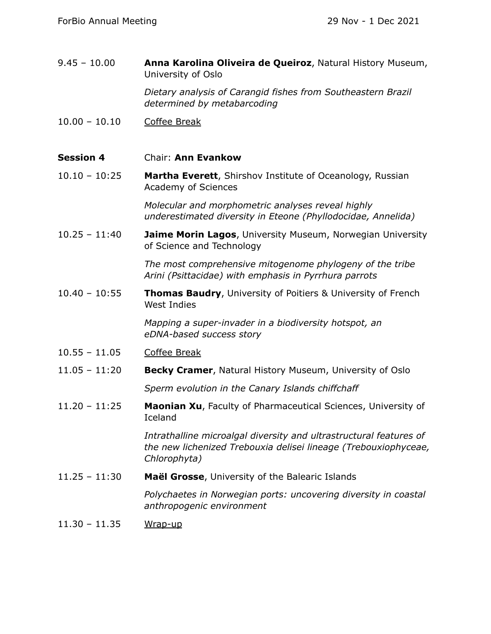| $9.45 - 10.00$   | Anna Karolina Oliveira de Queiroz, Natural History Museum,<br>University of Oslo                                                                      |
|------------------|-------------------------------------------------------------------------------------------------------------------------------------------------------|
|                  | Dietary analysis of Carangid fishes from Southeastern Brazil<br>determined by metabarcoding                                                           |
| $10.00 - 10.10$  | <b>Coffee Break</b>                                                                                                                                   |
| <b>Session 4</b> | Chair: Ann Evankow                                                                                                                                    |
| $10.10 - 10:25$  | Martha Everett, Shirshov Institute of Oceanology, Russian<br>Academy of Sciences                                                                      |
|                  | Molecular and morphometric analyses reveal highly<br>underestimated diversity in Eteone (Phyllodocidae, Annelida)                                     |
| $10.25 - 11:40$  | Jaime Morin Lagos, University Museum, Norwegian University<br>of Science and Technology                                                               |
|                  | The most comprehensive mitogenome phylogeny of the tribe<br>Arini (Psittacidae) with emphasis in Pyrrhura parrots                                     |
| $10.40 - 10:55$  | <b>Thomas Baudry, University of Poitiers &amp; University of French</b><br><b>West Indies</b>                                                         |
|                  | Mapping a super-invader in a biodiversity hotspot, an<br>eDNA-based success story                                                                     |
| $10.55 - 11.05$  | <b>Coffee Break</b>                                                                                                                                   |
| $11.05 - 11:20$  | Becky Cramer, Natural History Museum, University of Oslo                                                                                              |
|                  | Sperm evolution in the Canary Islands chiffchaff                                                                                                      |
| $11.20 - 11:25$  | Maonian Xu, Faculty of Pharmaceutical Sciences, University of<br>Iceland                                                                              |
|                  | Intrathalline microalgal diversity and ultrastructural features of<br>the new lichenized Trebouxia delisei lineage (Trebouxiophyceae,<br>Chlorophyta) |
| $11.25 - 11:30$  | Maël Grosse, University of the Balearic Islands                                                                                                       |
|                  | Polychaetes in Norwegian ports: uncovering diversity in coastal<br>anthropogenic environment                                                          |
| $11.30 - 11.35$  | Wrap-up                                                                                                                                               |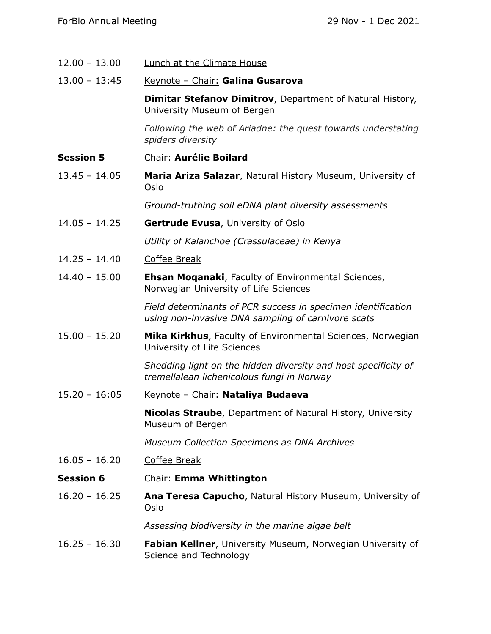| $12.00 - 13.00$  | <b>Lunch at the Climate House</b>                                                                                  |
|------------------|--------------------------------------------------------------------------------------------------------------------|
| $13.00 - 13:45$  | Keynote - Chair: Galina Gusarova                                                                                   |
|                  | Dimitar Stefanov Dimitrov, Department of Natural History,<br>University Museum of Bergen                           |
|                  | Following the web of Ariadne: the quest towards understating<br>spiders diversity                                  |
| <b>Session 5</b> | Chair: Aurélie Boilard                                                                                             |
| $13.45 - 14.05$  | Maria Ariza Salazar, Natural History Museum, University of<br>Oslo                                                 |
|                  | Ground-truthing soil eDNA plant diversity assessments                                                              |
| $14.05 - 14.25$  | Gertrude Evusa, University of Oslo                                                                                 |
|                  | Utility of Kalanchoe (Crassulaceae) in Kenya                                                                       |
| $14.25 - 14.40$  | Coffee Break                                                                                                       |
| $14.40 - 15.00$  | <b>Ehsan Moganaki, Faculty of Environmental Sciences,</b><br>Norwegian University of Life Sciences                 |
|                  | Field determinants of PCR success in specimen identification<br>using non-invasive DNA sampling of carnivore scats |
| $15.00 - 15.20$  | Mika Kirkhus, Faculty of Environmental Sciences, Norwegian<br>University of Life Sciences                          |
|                  | Shedding light on the hidden diversity and host specificity of<br>tremellalean lichenicolous fungi in Norway       |
| $15.20 - 16:05$  | Keynote - Chair: Nataliya Budaeva                                                                                  |
|                  | <b>Nicolas Straube, Department of Natural History, University</b><br>Museum of Bergen                              |
|                  | <b>Museum Collection Specimens as DNA Archives</b>                                                                 |
| $16.05 - 16.20$  | <b>Coffee Break</b>                                                                                                |
| <b>Session 6</b> | Chair: Emma Whittington                                                                                            |
| $16.20 - 16.25$  | Ana Teresa Capucho, Natural History Museum, University of<br>Oslo                                                  |
|                  | Assessing biodiversity in the marine algae belt                                                                    |
| $16.25 - 16.30$  | Fabian Kellner, University Museum, Norwegian University of<br>Science and Technology                               |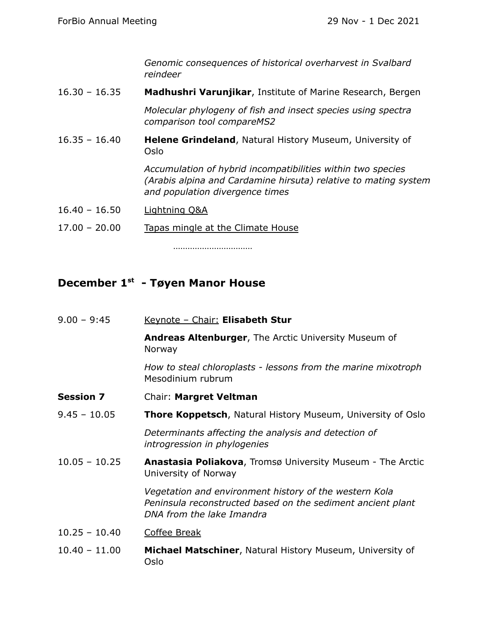*Genomic consequences of historical overharvest in Svalbard reindeer*

16.30 – 16.35 **Madhushri Varunjikar**, Institute of Marine Research, Bergen

*Molecular phylogeny of fish and insect species using spectra comparison tool compareMS2*

16.35 – 16.40 **Helene Grindeland**, Natural History Museum, University of Oslo

> *Accumulation of hybrid incompatibilities within two species (Arabis alpina and Cardamine hirsuta) relative to mating system and population divergence times*

17.00 – 20.00 Tapas mingle at the Climate House

……………………………

#### **December 1 st - Tøyen Manor House**

9.00 – 9:45 Keynote – Chair: **Elisabeth Stur Andreas Altenburger**, The Arctic University Museum of Norway *How to steal chloroplasts - lessons from the marine mixotroph* Mesodinium rubrum **Session 7** Chair: **Margret Veltman** 9.45 – 10.05 **Thore Koppetsch**, Natural History Museum, University of Oslo *Determinants affecting the analysis and detection of introgression in phylogenies* 10.05 – 10.25 **Anastasia Poliakova**, Tromsø University Museum - The Arctic University of Norway *Vegetation and environment history of the western Kola Peninsula reconstructed based on the sediment ancient plant DNA from the lake Imandra* 10.25 – 10.40 Coffee Break 10.40 – 11.00 **Michael Matschiner**, Natural History Museum, University of Oslo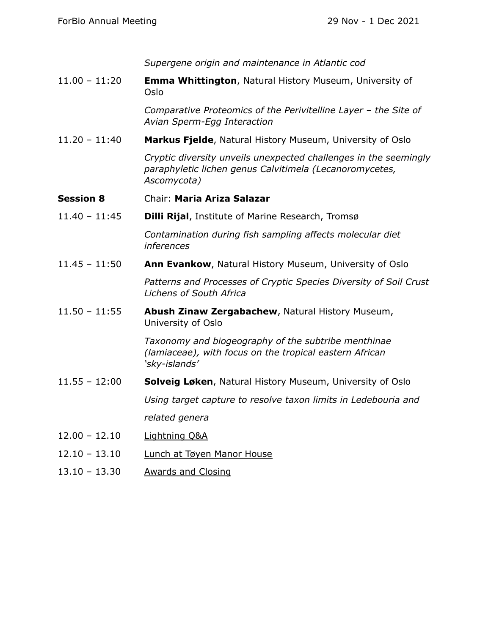*Supergene origin and maintenance in Atlantic cod*

11.00 – 11:20 **Emma Whittington**, Natural History Museum, University of Oslo

> *Comparative Proteomics of the Perivitelline Layer – the Site of Avian Sperm-Egg Interaction*

11.20 – 11:40 **Markus Fjelde**, Natural History Museum, University of Oslo

*Cryptic diversity unveils unexpected challenges in the seemingly paraphyletic lichen genus Calvitimela (Lecanoromycetes, Ascomycota)*

- **Session 8** Chair: **Maria Ariza Salazar**
- 11.40 11:45 **Dilli Rijal**, Institute of Marine Research, Tromsø

*Contamination during fish sampling affects molecular diet inferences*

11.45 – 11:50 **Ann Evankow**, Natural History Museum, University of Oslo

*Patterns and Processes of Cryptic Species Diversity of Soil Crust Lichens of South Africa*

11.50 – 11:55 **Abush Zinaw Zergabachew**, Natural History Museum, University of Oslo

> *Taxonomy and biogeography of the subtribe menthinae (lamiaceae), with focus on the tropical eastern African 'sky-islands'*

11.55 – 12:00 **Solveig Løken**, Natural History Museum, University of Oslo

*Using target capture to resolve taxon limits in Ledebouria and*

*related genera*

- 12.00 12.10 Lightning Q&A
- 12.10 13.10 Lunch at Tøyen Manor House
- 13.10 13.30 Awards and Closing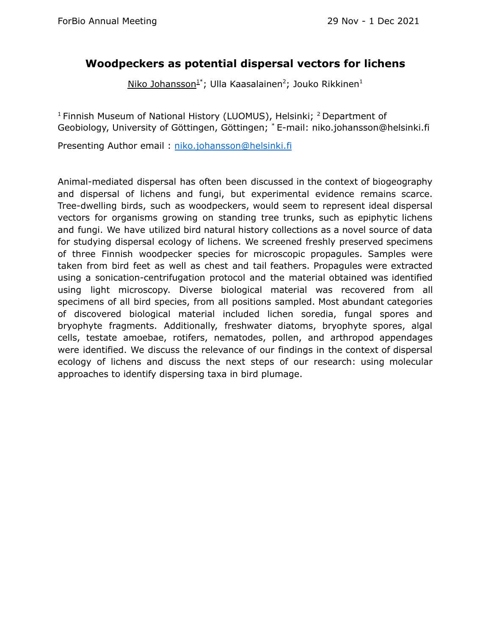#### **Woodpeckers as potential dispersal vectors for lichens**

Niko Johansson<sup>1\*</sup>; Ulla Kaasalainen<sup>2</sup>; Jouko Rikkinen<sup>1</sup>

<sup>1</sup> Finnish Museum of National History (LUOMUS), Helsinki; <sup>2</sup> Department of Geobiology, University of Göttingen, Göttingen; \* E-mail: niko.johansson@helsinki.fi

Presenting Author email : [niko.johansson@helsinki.fi](mailto:niko.johansson@helsinki.fi)

Animal-mediated dispersal has often been discussed in the context of biogeography and dispersal of lichens and fungi, but experimental evidence remains scarce. Tree-dwelling birds, such as woodpeckers, would seem to represent ideal dispersal vectors for organisms growing on standing tree trunks, such as epiphytic lichens and fungi. We have utilized bird natural history collections as a novel source of data for studying dispersal ecology of lichens. We screened freshly preserved specimens of three Finnish woodpecker species for microscopic propagules. Samples were taken from bird feet as well as chest and tail feathers. Propagules were extracted using a sonication-centrifugation protocol and the material obtained was identified using light microscopy. Diverse biological material was recovered from all specimens of all bird species, from all positions sampled. Most abundant categories of discovered biological material included lichen soredia, fungal spores and bryophyte fragments. Additionally, freshwater diatoms, bryophyte spores, algal cells, testate amoebae, rotifers, nematodes, pollen, and arthropod appendages were identified. We discuss the relevance of our findings in the context of dispersal ecology of lichens and discuss the next steps of our research: using molecular approaches to identify dispersing taxa in bird plumage.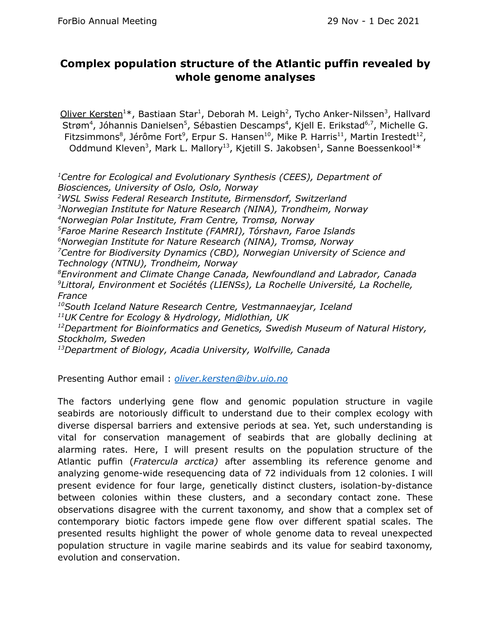#### **Complex population structure of the Atlantic puffin revealed by whole genome analyses**

Oliver Kersten<sup>1\*</sup>, Bastiaan Star<sup>1</sup>, Deborah M. Leigh<sup>2</sup>, Tycho Anker-Nilssen<sup>3</sup>, Hallvard Strøm<sup>4</sup>, Jóhannis Danielsen<sup>5</sup>, Sébastien Descamps<sup>4</sup>, Kjell E. Erikstad<sup>6,7</sup>, Michelle G. Fitzsimmons<sup>8</sup>, Jérôme Fort<sup>9</sup>, Erpur S. Hansen<sup>10</sup>, Mike P. Harris<sup>11</sup>, Martin Irestedt<sup>12</sup>, Oddmund Kleven<sup>3</sup>, Mark L. Mallory<sup>13</sup>, Kjetill S. Jakobsen<sup>1</sup>, Sanne Boessenkool<sup>1\*</sup>

*<sup>1</sup>Centre for Ecological and Evolutionary Synthesis (CEES), Department of Biosciences, University of Oslo, Oslo, Norway <sup>2</sup>WSL Swiss Federal Research Institute, Birmensdorf, Switzerland*

*Norwegian Institute for Nature Research (NINA), Trondheim, Norway Norwegian Polar Institute, Fram Centre, Tromsø, Norway Faroe Marine Research Institute (FAMRI), Tórshavn, Faroe Islands Norwegian Institute for Nature Research (NINA), Tromsø, Norway Centre for Biodiversity Dynamics (CBD), Norwegian University of Science and Technology (NTNU), Trondheim, Norway Environment and Climate Change Canada, Newfoundland and Labrador, Canada Littoral, Environment et Sociétés (LIENSs), La Rochelle Université, La Rochelle, France South Iceland Nature Research Centre, Vestmannaeyjar, Iceland UK Centre for Ecology & Hydrology, Midlothian, UK Department for Bioinformatics and Genetics, Swedish Museum of Natural History, Stockholm, Sweden*

*<sup>13</sup>Department of Biology, Acadia University, Wolfville, Canada*

Presenting Author email : *[oliver.kersten@ibv.uio.no](mailto:oliver.kersten@ibv.uio.no)*

The factors underlying gene flow and genomic population structure in vagile seabirds are notoriously difficult to understand due to their complex ecology with diverse dispersal barriers and extensive periods at sea. Yet, such understanding is vital for conservation management of seabirds that are globally declining at alarming rates. Here, I will present results on the population structure of the Atlantic puffin (*Fratercula arctica)* after assembling its reference genome and analyzing genome-wide resequencing data of 72 individuals from 12 colonies. I will present evidence for four large, genetically distinct clusters, isolation-by-distance between colonies within these clusters, and a secondary contact zone. These observations disagree with the current taxonomy, and show that a complex set of contemporary biotic factors impede gene flow over different spatial scales. The presented results highlight the power of whole genome data to reveal unexpected population structure in vagile marine seabirds and its value for seabird taxonomy, evolution and conservation.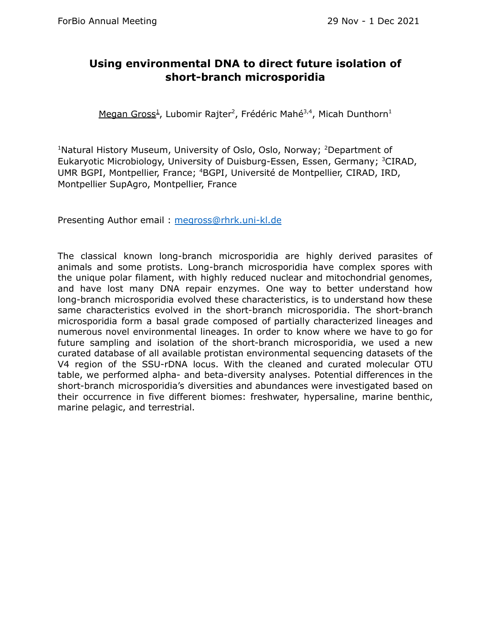#### **Using environmental DNA to direct future isolation of short-branch microsporidia**

Megan Gross<sup>1</sup>, Lubomir Rajter<sup>2</sup>, Frédéric Mahé<sup>3,4</sup>, Micah Dunthorn<sup>1</sup>

<sup>1</sup>Natural History Museum, University of Oslo, Oslo, Norway; <sup>2</sup>Department of Eukaryotic Microbiology, University of Duisburg-Essen, Essen, Germany; <sup>3</sup>CIRAD, UMR BGPI, Montpellier, France; <sup>4</sup>BGPI, Université de Montpellier, CIRAD, IRD, Montpellier SupAgro, Montpellier, France

Presenting Author email : [megross@rhrk.uni-kl.de](mailto:megross@rhrk.uni-kl.de)

The classical known long-branch microsporidia are highly derived parasites of animals and some protists. Long-branch microsporidia have complex spores with the unique polar filament, with highly reduced nuclear and mitochondrial genomes, and have lost many DNA repair enzymes. One way to better understand how long-branch microsporidia evolved these characteristics, is to understand how these same characteristics evolved in the short-branch microsporidia. The short-branch microsporidia form a basal grade composed of partially characterized lineages and numerous novel environmental lineages. In order to know where we have to go for future sampling and isolation of the short-branch microsporidia, we used a new curated database of all available protistan environmental sequencing datasets of the V4 region of the SSU-rDNA locus. With the cleaned and curated molecular OTU table, we performed alpha- and beta-diversity analyses. Potential differences in the short-branch microsporidia's diversities and abundances were investigated based on their occurrence in five different biomes: freshwater, hypersaline, marine benthic, marine pelagic, and terrestrial.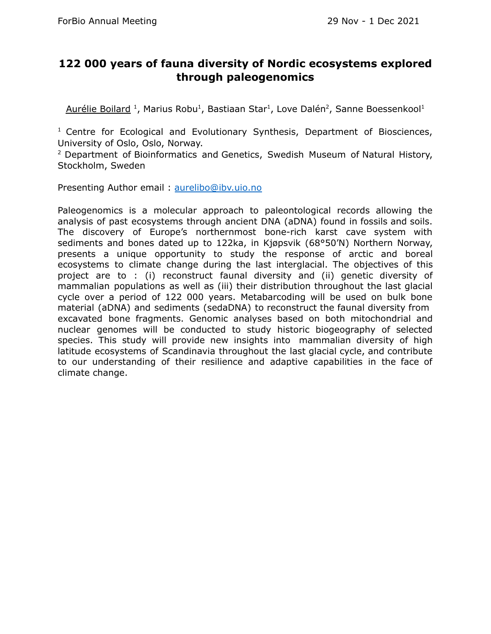#### **122 000 years of fauna diversity of Nordic ecosystems explored through paleogenomics**

Aurélie Boilard<sup>1</sup>, Marius Robu<sup>1</sup>, Bastiaan Star<sup>1</sup>, Love Dalén<sup>2</sup>, Sanne Boessenkool<sup>1</sup>

<sup>1</sup> Centre for Ecological and Evolutionary Synthesis, Department of Biosciences, University of Oslo, Oslo, Norway.

<sup>2</sup> Department of Bioinformatics and Genetics, Swedish Museum of Natural History, Stockholm, Sweden

Presenting Author email : [aurelibo@ibv.uio.no](mailto:aurelibo@ibv.uio.no)

Paleogenomics is a molecular approach to paleontological records allowing the analysis of past ecosystems through ancient DNA (aDNA) found in fossils and soils. The discovery of Europe's northernmost bone-rich karst cave system with sediments and bones dated up to 122ka, in Kjøpsvik (68°50'N) Northern Norway, presents a unique opportunity to study the response of arctic and boreal ecosystems to climate change during the last interglacial. The objectives of this project are to : (i) reconstruct faunal diversity and (ii) genetic diversity of mammalian populations as well as (iii) their distribution throughout the last glacial cycle over a period of 122 000 years. Metabarcoding will be used on bulk bone material (aDNA) and sediments (sedaDNA) to reconstruct the faunal diversity from excavated bone fragments. Genomic analyses based on both mitochondrial and nuclear genomes will be conducted to study historic biogeography of selected species. This study will provide new insights into mammalian diversity of high latitude ecosystems of Scandinavia throughout the last glacial cycle, and contribute to our understanding of their resilience and adaptive capabilities in the face of climate change.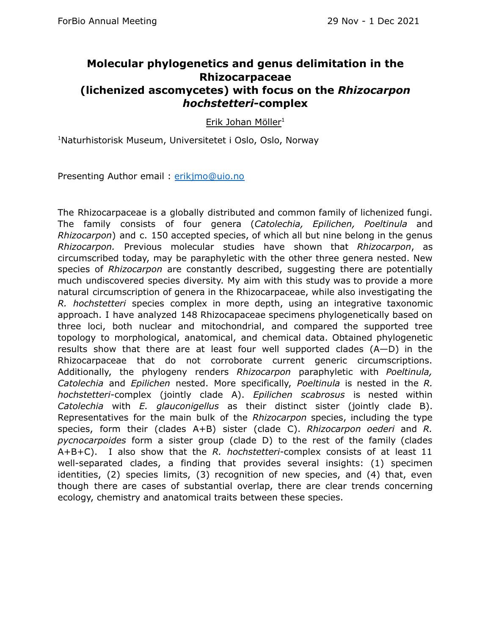#### **Molecular phylogenetics and genus delimitation in the Rhizocarpaceae (lichenized ascomycetes) with focus on the** *Rhizocarpon hochstetteri***-complex**

Erik Johan Möller<sup>1</sup>

<sup>1</sup>Naturhistorisk Museum, Universitetet i Oslo, Oslo, Norway

Presenting Author email : [erikjmo@uio.no](mailto:erikjmo@uio.no)

The Rhizocarpaceae is a globally distributed and common family of lichenized fungi. The family consists of four genera (*Catolechia, Epilichen, Poeltinula* and *Rhizocarpon*) and c. 150 accepted species, of which all but nine belong in the genus *Rhizocarpon.* Previous molecular studies have shown that *Rhizocarpon*, as circumscribed today, may be paraphyletic with the other three genera nested. New species of *Rhizocarpon* are constantly described, suggesting there are potentially much undiscovered species diversity. My aim with this study was to provide a more natural circumscription of genera in the Rhizocarpaceae, while also investigating the *R. hochstetteri* species complex in more depth, using an integrative taxonomic approach. I have analyzed 148 Rhizocapaceae specimens phylogenetically based on three loci, both nuclear and mitochondrial, and compared the supported tree topology to morphological, anatomical, and chemical data. Obtained phylogenetic results show that there are at least four well supported clades (A—D) in the Rhizocarpaceae that do not corroborate current generic circumscriptions. Additionally, the phylogeny renders *Rhizocarpon* paraphyletic with *Poeltinula, Catolechia* and *Epilichen* nested. More specifically, *Poeltinula* is nested in the *R. hochstetteri*-complex (jointly clade A). *Epilichen scabrosus* is nested within *Catolechia* with *E. glauconigellus* as their distinct sister (jointly clade B). Representatives for the main bulk of the *Rhizocarpon* species, including the type species, form their (clades A+B) sister (clade C). *Rhizocarpon oederi* and *R. pycnocarpoides* form a sister group (clade D) to the rest of the family (clades A+B+C). I also show that the *R. hochstetteri*-complex consists of at least 11 well-separated clades, a finding that provides several insights: (1) specimen identities, (2) species limits, (3) recognition of new species, and (4) that, even though there are cases of substantial overlap, there are clear trends concerning ecology, chemistry and anatomical traits between these species.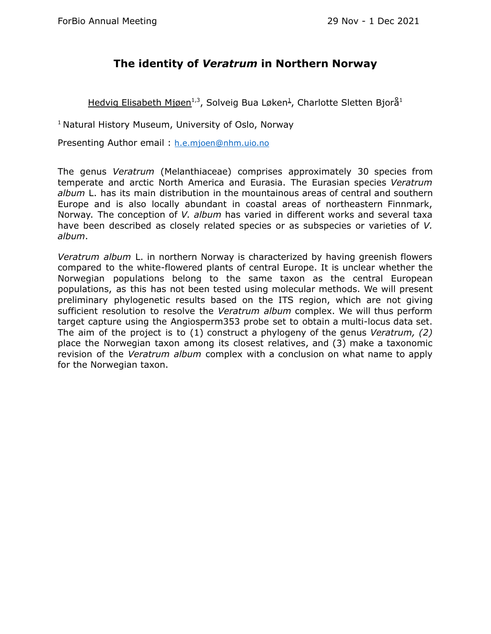#### **The identity of** *Veratrum* **in Northern Norway**

Hedvig Elisabeth Mjøen<sup>1,3</sup>, Solveig Bua Løken<sup>1</sup>, Charlotte Sletten Bjorå<sup>1</sup>

<sup>1</sup> Natural History Museum, University of Oslo, Norway

Presenting Author email : [h.e.mjoen@nhm.uio.no](mailto:h.e.mjoen@nhm.uio.no)

The genus *Veratrum* (Melanthiaceae) comprises approximately 30 species from temperate and arctic North America and Eurasia. The Eurasian species *Veratrum album* L. has its main distribution in the mountainous areas of central and southern Europe and is also locally abundant in coastal areas of northeastern Finnmark, Norway. The conception of *V. album* has varied in different works and several taxa have been described as closely related species or as subspecies or varieties of *V. album*.

*Veratrum album* L. in northern Norway is characterized by having greenish flowers compared to the white-flowered plants of central Europe. It is unclear whether the Norwegian populations belong to the same taxon as the central European populations, as this has not been tested using molecular methods. We will present preliminary phylogenetic results based on the ITS region, which are not giving sufficient resolution to resolve the *Veratrum album* complex. We will thus perform target capture using the Angiosperm353 probe set to obtain a multi-locus data set. The aim of the project is to (1) construct a phylogeny of the genus *Veratrum, (2)* place the Norwegian taxon among its closest relatives, and (3) make a taxonomic revision of the *Veratrum album* complex with a conclusion on what name to apply for the Norwegian taxon.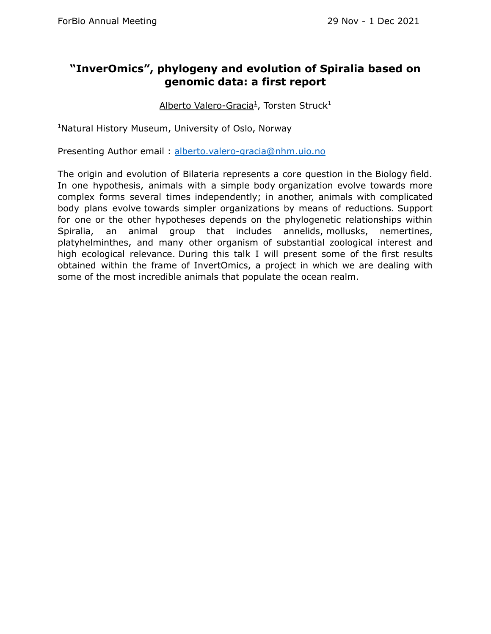#### **"InverOmics", phylogeny and evolution of Spiralia based on genomic data: a first report**

Alberto Valero-Gracia<sup>1</sup>, Torsten Struck<sup>1</sup>

<sup>1</sup>Natural History Museum, University of Oslo, Norway

Presenting Author email : [alberto.valero-gracia@nhm.uio.no](mailto:alberto.valero-gracia@nhm.uio.no)

The origin and evolution of Bilateria represents a core question in the Biology field. In one hypothesis, animals with a simple body organization evolve towards more complex forms several times independently; in another, animals with complicated body plans evolve towards simpler organizations by means of reductions. Support for one or the other hypotheses depends on the phylogenetic relationships within Spiralia, an animal group that includes annelids, mollusks, nemertines, platyhelminthes, and many other organism of substantial zoological interest and high ecological relevance. During this talk I will present some of the first results obtained within the frame of InvertOmics, a project in which we are dealing with some of the most incredible animals that populate the ocean realm.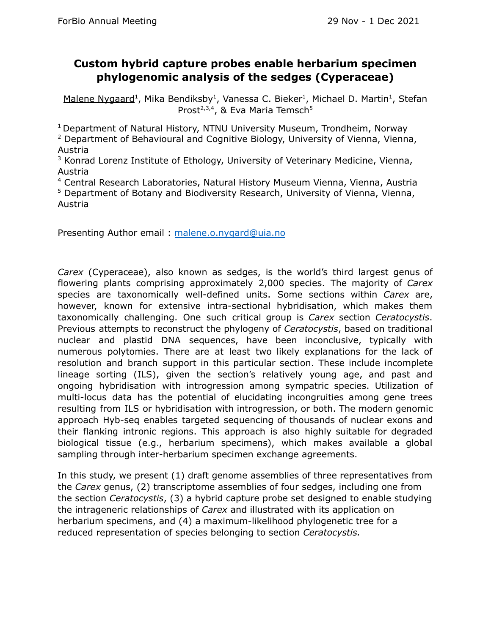#### **Custom hybrid capture probes enable herbarium specimen phylogenomic analysis of the sedges (Cyperaceae)**

Malene Nygaard<sup>1</sup>, Mika Bendiksby<sup>1</sup>, Vanessa C. Bieker<sup>1</sup>, Michael D. Martin<sup>1</sup>, Stefan Prost<sup>2,3,4</sup>, & Eva Maria Temsch<sup>5</sup>

<sup>1</sup> Department of Natural History, NTNU University Museum, Trondheim, Norway

<sup>2</sup> Department of Behavioural and Cognitive Biology, University of Vienna, Vienna, Austria

<sup>3</sup> Konrad Lorenz Institute of Ethology, University of Veterinary Medicine, Vienna, Austria

<sup>4</sup> Central Research Laboratories, Natural History Museum Vienna, Vienna, Austria

<sup>5</sup> Department of Botany and Biodiversity Research, University of Vienna, Vienna, Austria

Presenting Author email : [malene.o.nygard@uia.no](mailto:malene.o.nygard@uia.no)

*Carex* (Cyperaceae), also known as sedges, is the world's third largest genus of flowering plants comprising approximately 2,000 species. The majority of *Carex* species are taxonomically well-defined units. Some sections within *Carex* are, however, known for extensive intra-sectional hybridisation, which makes them taxonomically challenging. One such critical group is *Carex* section *Ceratocystis*. Previous attempts to reconstruct the phylogeny of *Ceratocystis*, based on traditional nuclear and plastid DNA sequences, have been inconclusive, typically with numerous polytomies. There are at least two likely explanations for the lack of resolution and branch support in this particular section. These include incomplete lineage sorting (ILS), given the section's relatively young age, and past and ongoing hybridisation with introgression among sympatric species. Utilization of multi-locus data has the potential of elucidating incongruities among gene trees resulting from ILS or hybridisation with introgression, or both. The modern genomic approach Hyb-seq enables targeted sequencing of thousands of nuclear exons and their flanking intronic regions. This approach is also highly suitable for degraded biological tissue (e.g., herbarium specimens), which makes available a global sampling through inter-herbarium specimen exchange agreements.

In this study, we present (1) draft genome assemblies of three representatives from the *Carex* genus, (2) transcriptome assemblies of four sedges, including one from the section *Ceratocystis*, (3) a hybrid capture probe set designed to enable studying the intrageneric relationships of *Carex* and illustrated with its application on herbarium specimens, and (4) a maximum-likelihood phylogenetic tree for a reduced representation of species belonging to section *Ceratocystis.*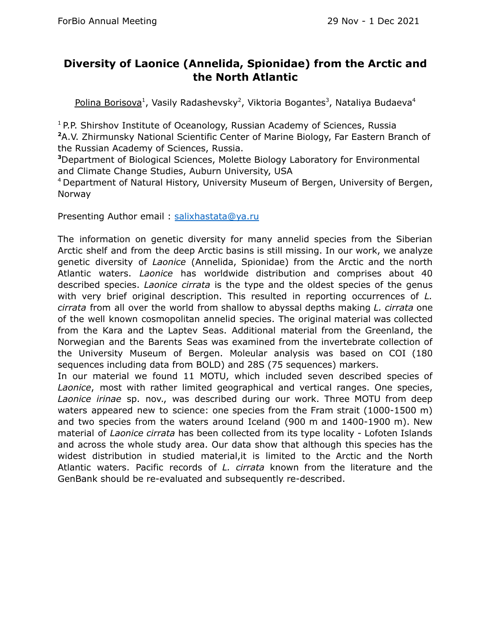#### **Diversity of Laonice (Annelida, Spionidae) from the Arctic and the North Atlantic**

Polina Borisova<sup>1</sup>, Vasily Radashevsky<sup>2</sup>, Viktoria Bogantes<sup>3</sup>, Nataliya Budaeva<sup>4</sup>

<sup>1</sup> P.P. Shirshov Institute of Oceanology, Russian Academy of Sciences, Russia **<sup>2</sup>**A.V. Zhirmunsky National Scientific Center of Marine Biology, Far Eastern Branch of the Russian Academy of Sciences, Russia.

**<sup>3</sup>**Department of Biological Sciences, Molette Biology Laboratory for Environmental and Climate Change Studies, Auburn University, USA

<sup>4</sup> Department of Natural History, University Museum of Bergen, University of Bergen, Norway

Presenting Author email: [salixhastata@ya.ru](mailto:salixhastata@ya.ru)

The information on genetic diversity for many annelid species from the Siberian Arctic shelf and from the deep Arctic basins is still missing. In our work, we analyze genetic diversity of *Laonice* (Annelida, Spionidae) from the Arctic and the north Atlantic waters. *Laonice* has worldwide distribution and comprises about 40 described species. *Laonice cirrata* is the type and the oldest species of the genus with very brief original description. This resulted in reporting occurrences of *L. cirrata* from all over the world from shallow to abyssal depths making *L. cirrata* one of the well known cosmopolitan annelid species. The original material was collected from the Kara and the Laptev Seas. Additional material from the Greenland, the Norwegian and the Barents Seas was examined from the invertebrate collection of the University Museum of Bergen. Moleular analysis was based on COI (180 sequences including data from BOLD) and 28S (75 sequences) markers.

In our material we found 11 MOTU, which included seven described species of *Laonice*, most with rather limited geographical and vertical ranges. One species, *Laonice irinae* sp. nov., was described during our work. Three MOTU from deep waters appeared new to science: one species from the Fram strait (1000-1500 m) and two species from the waters around Iceland (900 m and 1400-1900 m). New material of *Laonice cirrata* has been collected from its type locality - Lofoten Islands and across the whole study area. Our data show that although this species has the widest distribution in studied material,it is limited to the Arctic and the North Atlantic waters. Pacific records of *L. cirrata* known from the literature and the GenBank should be re-evaluated and subsequently re-described.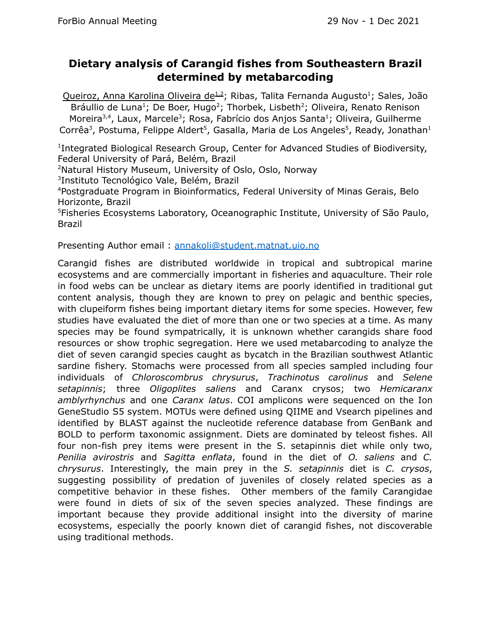#### **Dietary analysis of Carangid fishes from Southeastern Brazil determined by metabarcoding**

Queiroz, Anna Karolina Oliveira de<sup>1.2</sup>; Ribas, Talita Fernanda Augusto<sup>1</sup>; Sales, João Bráullio de Luna<sup>1</sup>; De Boer, Hugo<sup>2</sup>; Thorbek, Lisbeth<sup>2</sup>; Oliveira, Renato Renison Moreira<sup>3,4</sup>, Laux, Marcele<sup>3</sup>; Rosa, Fabrício dos Anjos Santa<sup>1</sup>; Oliveira, Guilherme Corrêa<sup>3</sup>, Postuma, Felippe Aldert<sup>5</sup>, Gasalla, Maria de Los Angeles<sup>5</sup>, Ready, Jonathan<sup>1</sup>

<sup>1</sup>Integrated Biological Research Group, Center for Advanced Studies of Biodiversity, Federal University of Pará, Belém, Brazil

<sup>2</sup>Natural History Museum, University of Oslo, Oslo, Norway

<sup>3</sup>Instituto Tecnológico Vale, Belém, Brazil

<sup>4</sup>Postgraduate Program in Bioinformatics, Federal University of Minas Gerais, Belo Horizonte, Brazil

<sup>5</sup>Fisheries Ecosystems Laboratory, Oceanographic Institute, University of São Paulo, Brazil

Presenting Author email : [annakoli@student.matnat.uio.no](mailto:annakoli@student.matnat.uio.no)

Carangid fishes are distributed worldwide in tropical and subtropical marine ecosystems and are commercially important in fisheries and aquaculture. Their role in food webs can be unclear as dietary items are poorly identified in traditional gut content analysis, though they are known to prey on pelagic and benthic species, with clupeiform fishes being important dietary items for some species. However, few studies have evaluated the diet of more than one or two species at a time. As many species may be found sympatrically, it is unknown whether carangids share food resources or show trophic segregation. Here we used metabarcoding to analyze the diet of seven carangid species caught as bycatch in the Brazilian southwest Atlantic sardine fishery. Stomachs were processed from all species sampled including four individuals of *Chloroscombrus chrysurus*, *Trachinotus carolinus* and *Selene setapinnis*; three *Oligoplites saliens* and Caranx crysos; two *Hemicaranx amblyrhynchus* and one *Caranx latus*. COI amplicons were sequenced on the Ion GeneStudio S5 system. MOTUs were defined using QIIME and Vsearch pipelines and identified by BLAST against the nucleotide reference database from GenBank and BOLD to perform taxonomic assignment. Diets are dominated by teleost fishes. All four non-fish prey items were present in the S. setapinnis diet while only two, *Penilia avirostris* and *Sagitta enflata*, found in the diet of *O. saliens* and *C. chrysurus*. Interestingly, the main prey in the *S. setapinnis* diet is *C. crysos*, suggesting possibility of predation of juveniles of closely related species as a competitive behavior in these fishes. Other members of the family Carangidae were found in diets of six of the seven species analyzed. These findings are important because they provide additional insight into the diversity of marine ecosystems, especially the poorly known diet of carangid fishes, not discoverable using traditional methods.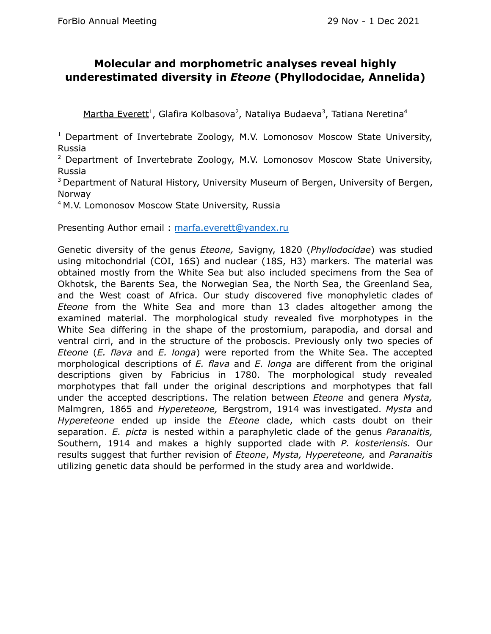#### **Molecular and morphometric analyses reveal highly underestimated diversity in** *Eteone* **(Phyllodocidae, Annelida)**

Martha Everett<sup>1</sup>, Glafira Kolbasova<sup>2</sup>, Nataliya Budaeva<sup>3</sup>, Tatiana Neretina<sup>4</sup>

<sup>1</sup> Department of Invertebrate Zoology, M.V. Lomonosov Moscow State University, Russia

<sup>2</sup> Department of Invertebrate Zoology, M.V. Lomonosov Moscow State University, Russia

<sup>3</sup> Department of Natural History, University Museum of Bergen, University of Bergen, Norway

<sup>4</sup> M.V. Lomonosov Moscow State University, Russia

Presenting Author email : [marfa.everett@yandex.ru](mailto:marfa.everett@yandex.ru)

Genetic diversity of the genus *Eteone,* Savigny, 1820 (*Phyllodocidae*) was studied using mitochondrial (COI, 16S) and nuclear (18S, H3) markers. The material was obtained mostly from the White Sea but also included specimens from the Sea of Okhotsk, the Barents Sea, the Norwegian Sea, the North Sea, the Greenland Sea, and the West coast of Africa. Our study discovered five monophyletic clades of *Eteone* from the White Sea and more than 13 clades altogether among the examined material. The morphological study revealed five morphotypes in the White Sea differing in the shape of the prostomium, parapodia, and dorsal and ventral cirri, and in the structure of the proboscis. Previously only two species of *Eteone* (*E. flava* and *E. longa*) were reported from the White Sea. The accepted morphological descriptions of *E. flava* and *E. longa* are different from the original descriptions given by Fabricius in 1780. The morphological study revealed morphotypes that fall under the original descriptions and morphotypes that fall under the accepted descriptions. The relation between *Eteone* and genera *Mysta,* Malmgren, 1865 and *Hypereteone,* Bergstrom, 1914 was investigated. *Mysta* and *Hypereteone* ended up inside the *Eteone* clade, which casts doubt on their separation. *E. picta* is nested within a paraphyletic clade of the genus *Paranaitis,* Southern, 1914 and makes a highly supported clade with *P. kosteriensis.* Our results suggest that further revision of *Eteone*, *Mysta, Hypereteone,* and *Paranaitis* utilizing genetic data should be performed in the study area and worldwide.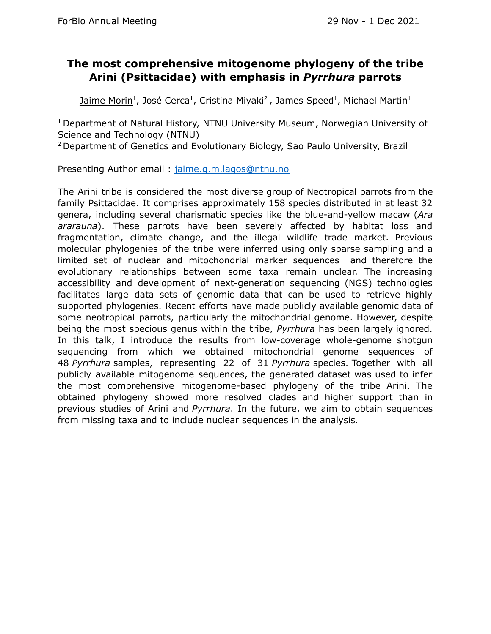#### **The most comprehensive mitogenome phylogeny of the tribe Arini (Psittacidae) with emphasis in** *Pyrrhura* **parrots**

Jaime Morin<sup>1</sup>, José Cerca<sup>1</sup>, Cristina Miyaki<sup>2</sup>, James Speed<sup>1</sup>, Michael Martin<sup>1</sup>

<sup>1</sup> Department of Natural History, NTNU University Museum, Norwegian University of Science and Technology (NTNU)

<sup>2</sup> Department of Genetics and Evolutionary Biology, Sao Paulo University, Brazil

Presenting Author email : [jaime.g.m.lagos@ntnu.no](mailto:jaime.g.m.lagos@ntnu.no)

The Arini tribe is considered the most diverse group of Neotropical parrots from the family Psittacidae. It comprises approximately 158 species distributed in at least 32 genera, including several charismatic species like the blue-and-yellow macaw (*Ara ararauna*). These parrots have been severely affected by habitat loss and fragmentation, climate change, and the illegal wildlife trade market. Previous molecular phylogenies of the tribe were inferred using only sparse sampling and a limited set of nuclear and mitochondrial marker sequences and therefore the evolutionary relationships between some taxa remain unclear. The increasing accessibility and development of next-generation sequencing (NGS) technologies facilitates large data sets of genomic data that can be used to retrieve highly supported phylogenies. Recent efforts have made publicly available genomic data of some neotropical parrots, particularly the mitochondrial genome. However, despite being the most specious genus within the tribe, *Pyrrhura* has been largely ignored. In this talk, I introduce the results from low-coverage whole-genome shotgun sequencing from which we obtained mitochondrial genome sequences of 48 *Pyrrhura* samples, representing 22 of 31 *Pyrrhura* species. Together with all publicly available mitogenome sequences, the generated dataset was used to infer the most comprehensive mitogenome-based phylogeny of the tribe Arini. The obtained phylogeny showed more resolved clades and higher support than in previous studies of Arini and *Pyrrhura*. In the future, we aim to obtain sequences from missing taxa and to include nuclear sequences in the analysis.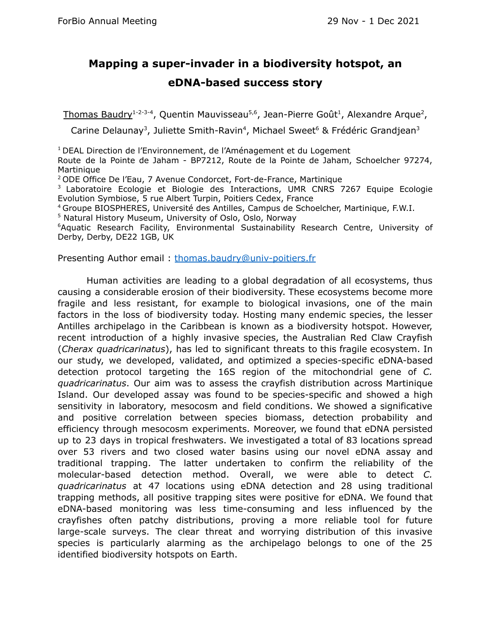## **Mapping a super-invader in a biodiversity hotspot, an eDNA-based success story**

Thomas Baudry<sup>1-2-3-4</sup>, Quentin Mauvisseau<sup>5,6</sup>, Jean-Pierre Goût<sup>1</sup>, Alexandre Arque<sup>2</sup>,

Carine Delaunay<sup>3</sup>, Juliette Smith-Ravin<sup>4</sup>, Michael Sweet<sup>6</sup> & Frédéric Grandjean<sup>3</sup>

 $1$  DEAL Direction de l'Environnement, de l'Aménagement et du Logement

Route de la Pointe de Jaham - BP7212, Route de la Pointe de Jaham, Schoelcher 97274, Martinique

<sup>2</sup> ODE Office De l'Eau, 7 Avenue Condorcet, Fort-de-France, Martinique

<sup>3</sup> Laboratoire Ecologie et Biologie des Interactions, UMR CNRS 7267 Equipe Ecologie Evolution Symbiose, 5 rue Albert Turpin, Poitiers Cedex, France

<sup>4</sup> Groupe BIOSPHERES, Université des Antilles, Campus de Schoelcher, Martinique, F.W.I.

<sup>5</sup> Natural History Museum, University of Oslo, Oslo, Norway

<sup>6</sup>Aquatic Research Facility, Environmental Sustainability Research Centre, University of Derby, Derby, DE22 1GB, UK

Presenting Author email : [thomas.baudry@univ-poitiers.fr](mailto:thomas.baudry@univ-poitiers.fr)

Human activities are leading to a global degradation of all ecosystems, thus causing a considerable erosion of their biodiversity. These ecosystems become more fragile and less resistant, for example to biological invasions, one of the main factors in the loss of biodiversity today. Hosting many endemic species, the lesser Antilles archipelago in the Caribbean is known as a biodiversity hotspot. However, recent introduction of a highly invasive species, the Australian Red Claw Crayfish (*Cherax quadricarinatus*), has led to significant threats to this fragile ecosystem. In our study, we developed, validated, and optimized a species-specific eDNA-based detection protocol targeting the 16S region of the mitochondrial gene of *C. quadricarinatus*. Our aim was to assess the crayfish distribution across Martinique Island. Our developed assay was found to be species-specific and showed a high sensitivity in laboratory, mesocosm and field conditions. We showed a significative and positive correlation between species biomass, detection probability and efficiency through mesocosm experiments. Moreover, we found that eDNA persisted up to 23 days in tropical freshwaters. We investigated a total of 83 locations spread over 53 rivers and two closed water basins using our novel eDNA assay and traditional trapping. The latter undertaken to confirm the reliability of the molecular-based detection method. Overall, we were able to detect *C. quadricarinatus* at 47 locations using eDNA detection and 28 using traditional trapping methods, all positive trapping sites were positive for eDNA. We found that eDNA-based monitoring was less time-consuming and less influenced by the crayfishes often patchy distributions, proving a more reliable tool for future large-scale surveys. The clear threat and worrying distribution of this invasive species is particularly alarming as the archipelago belongs to one of the 25 identified biodiversity hotspots on Earth.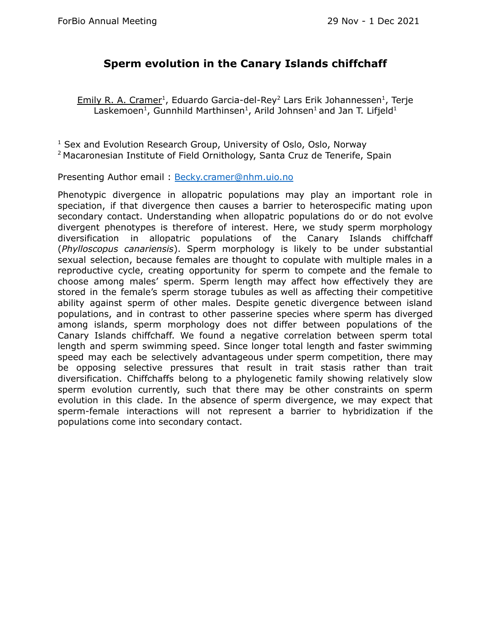#### **Sperm evolution in the Canary Islands chiffchaff**

Emily R. A. Cramer<sup>1</sup>, Eduardo Garcia-del-Rey<sup>2</sup> Lars Erik Johannessen<sup>1</sup>, Terje Laskemoen<sup>1</sup>, Gunnhild Marthinsen<sup>1</sup>, Arild Johnsen<sup>1</sup> and Jan T. Lifjeld<sup>1</sup>

<sup>1</sup> Sex and Evolution Research Group, University of Oslo, Oslo, Norway <sup>2</sup> Macaronesian Institute of Field Ornithology, Santa Cruz de Tenerife, Spain

Presenting Author email : [Becky.cramer@nhm.uio.no](mailto:Becky.cramer@nhm.uio.no)

Phenotypic divergence in allopatric populations may play an important role in speciation, if that divergence then causes a barrier to heterospecific mating upon secondary contact. Understanding when allopatric populations do or do not evolve divergent phenotypes is therefore of interest. Here, we study sperm morphology diversification in allopatric populations of the Canary Islands chiffchaff (*Phylloscopus canariensis*). Sperm morphology is likely to be under substantial sexual selection, because females are thought to copulate with multiple males in a reproductive cycle, creating opportunity for sperm to compete and the female to choose among males' sperm. Sperm length may affect how effectively they are stored in the female's sperm storage tubules as well as affecting their competitive ability against sperm of other males. Despite genetic divergence between island populations, and in contrast to other passerine species where sperm has diverged among islands, sperm morphology does not differ between populations of the Canary Islands chiffchaff. We found a negative correlation between sperm total length and sperm swimming speed. Since longer total length and faster swimming speed may each be selectively advantageous under sperm competition, there may be opposing selective pressures that result in trait stasis rather than trait diversification. Chiffchaffs belong to a phylogenetic family showing relatively slow sperm evolution currently, such that there may be other constraints on sperm evolution in this clade. In the absence of sperm divergence, we may expect that sperm-female interactions will not represent a barrier to hybridization if the populations come into secondary contact.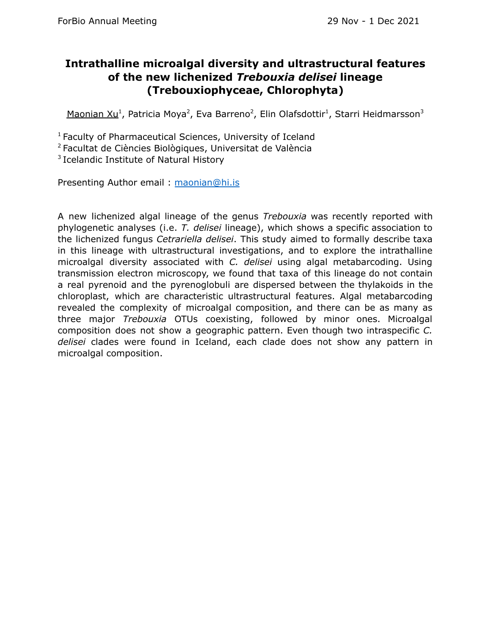#### **Intrathalline microalgal diversity and ultrastructural features of the new lichenized** *Trebouxia delisei* **lineage (Trebouxiophyceae, Chlorophyta)**

Maonian Xu<sup>1</sup>, Patricia Moya<sup>2</sup>, Eva Barreno<sup>2</sup>, Elin Olafsdottir<sup>1</sup>, Starri Heidmarsson<sup>3</sup>

<sup>1</sup> Faculty of Pharmaceutical Sciences, University of Iceland

<sup>2</sup> Facultat de Ciències Biològiques, Universitat de València

<sup>3</sup> Icelandic Institute of Natural History

Presenting Author email : [maonian@hi.is](mailto:maonian@hi.is)

A new lichenized algal lineage of the genus *Trebouxia* was recently reported with phylogenetic analyses (i.e. *T. delisei* lineage), which shows a specific association to the lichenized fungus *Cetrariella delisei*. This study aimed to formally describe taxa in this lineage with ultrastructural investigations, and to explore the intrathalline microalgal diversity associated with *C. delisei* using algal metabarcoding. Using transmission electron microscopy, we found that taxa of this lineage do not contain a real pyrenoid and the pyrenoglobuli are dispersed between the thylakoids in the chloroplast, which are characteristic ultrastructural features. Algal metabarcoding revealed the complexity of microalgal composition, and there can be as many as three major *Trebouxia* OTUs coexisting, followed by minor ones. Microalgal composition does not show a geographic pattern. Even though two intraspecific *C. delisei* clades were found in Iceland, each clade does not show any pattern in microalgal composition.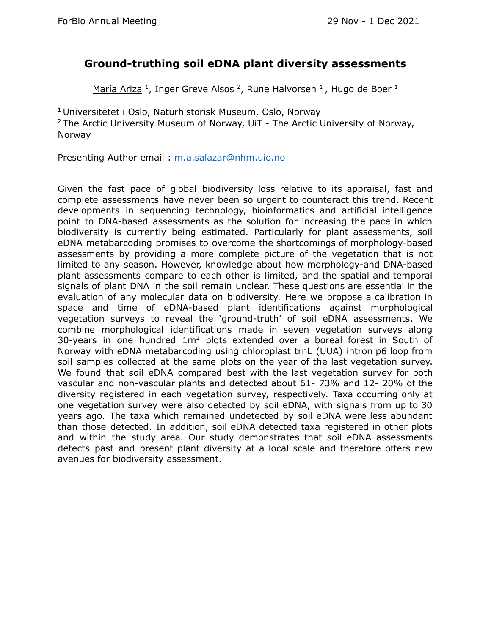#### **Ground-truthing soil eDNA plant diversity assessments**

María Ariza<sup>1</sup>, Inger Greve Alsos<sup>2</sup>, Rune Halvorsen<sup>1</sup>, Hugo de Boer<sup>1</sup>

<sup>1</sup> Universitetet i Oslo, Naturhistorisk Museum, Oslo, Norway  $2$  The Arctic University Museum of Norway, UiT - The Arctic University of Norway, Norway

Presenting Author email : [m.a.salazar@nhm.uio.no](mailto:m.a.salazar@nhm.uio.no)

Given the fast pace of global biodiversity loss relative to its appraisal, fast and complete assessments have never been so urgent to counteract this trend. Recent developments in sequencing technology, bioinformatics and artificial intelligence point to DNA-based assessments as the solution for increasing the pace in which biodiversity is currently being estimated. Particularly for plant assessments, soil eDNA metabarcoding promises to overcome the shortcomings of morphology-based assessments by providing a more complete picture of the vegetation that is not limited to any season. However, knowledge about how morphology-and DNA-based plant assessments compare to each other is limited, and the spatial and temporal signals of plant DNA in the soil remain unclear. These questions are essential in the evaluation of any molecular data on biodiversity. Here we propose a calibration in space and time of eDNA-based plant identifications against morphological vegetation surveys to reveal the 'ground-truth' of soil eDNA assessments. We combine morphological identifications made in seven vegetation surveys along 30-years in one hundred  $1m<sup>2</sup>$  plots extended over a boreal forest in South of Norway with eDNA metabarcoding using chloroplast trnL (UUA) intron p6 loop from soil samples collected at the same plots on the year of the last vegetation survey. We found that soil eDNA compared best with the last vegetation survey for both vascular and non-vascular plants and detected about 61- 73% and 12- 20% of the diversity registered in each vegetation survey, respectively. Taxa occurring only at one vegetation survey were also detected by soil eDNA, with signals from up to 30 years ago. The taxa which remained undetected by soil eDNA were less abundant than those detected. In addition, soil eDNA detected taxa registered in other plots and within the study area. Our study demonstrates that soil eDNA assessments detects past and present plant diversity at a local scale and therefore offers new avenues for biodiversity assessment.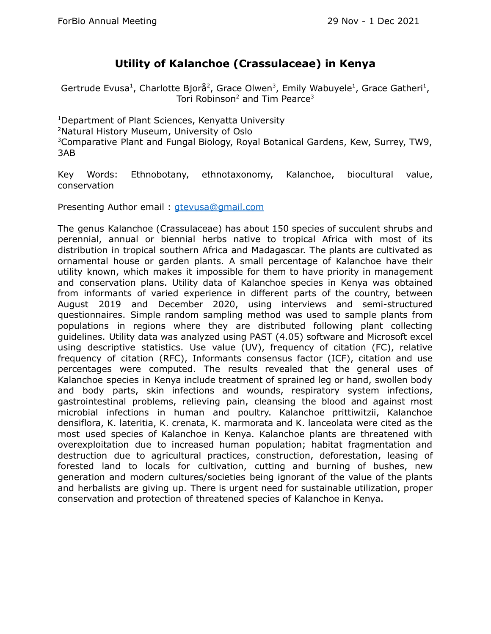#### **Utility of Kalanchoe (Crassulaceae) in Kenya**

Gertrude Evusa<sup>1</sup>, Charlotte Bjorå<sup>2</sup>, Grace Olwen<sup>3</sup>, Emily Wabuyele<sup>1</sup>, Grace Gatheri<sup>1</sup>, Tori Robinson<sup>2</sup> and Tim Pearce<sup>3</sup>

Department of Plant Sciences, Kenyatta University Natural History Museum, University of Oslo Comparative Plant and Fungal Biology, Royal Botanical Gardens, Kew, Surrey, TW9, 3AB

Key Words: Ethnobotany, ethnotaxonomy, Kalanchoe, biocultural value, conservation

Presenting Author email : [gtevusa@gmail.com](mailto:gtevusa@gmail.com)

The genus Kalanchoe (Crassulaceae) has about 150 species of succulent shrubs and perennial, annual or biennial herbs native to tropical Africa with most of its distribution in tropical southern Africa and Madagascar. The plants are cultivated as ornamental house or garden plants. A small percentage of Kalanchoe have their utility known, which makes it impossible for them to have priority in management and conservation plans. Utility data of Kalanchoe species in Kenya was obtained from informants of varied experience in different parts of the country, between August 2019 and December 2020, using interviews and semi-structured questionnaires. Simple random sampling method was used to sample plants from populations in regions where they are distributed following plant collecting guidelines. Utility data was analyzed using PAST (4.05) software and Microsoft excel using descriptive statistics. Use value (UV), frequency of citation (FC), relative frequency of citation (RFC), Informants consensus factor (ICF), citation and use percentages were computed. The results revealed that the general uses of Kalanchoe species in Kenya include treatment of sprained leg or hand, swollen body and body parts, skin infections and wounds, respiratory system infections, gastrointestinal problems, relieving pain, cleansing the blood and against most microbial infections in human and poultry. Kalanchoe prittiwitzii, Kalanchoe densiflora, K. lateritia, K. crenata, K. marmorata and K. lanceolata were cited as the most used species of Kalanchoe in Kenya. Kalanchoe plants are threatened with overexploitation due to increased human population; habitat fragmentation and destruction due to agricultural practices, construction, deforestation, leasing of forested land to locals for cultivation, cutting and burning of bushes, new generation and modern cultures/societies being ignorant of the value of the plants and herbalists are giving up. There is urgent need for sustainable utilization, proper conservation and protection of threatened species of Kalanchoe in Kenya.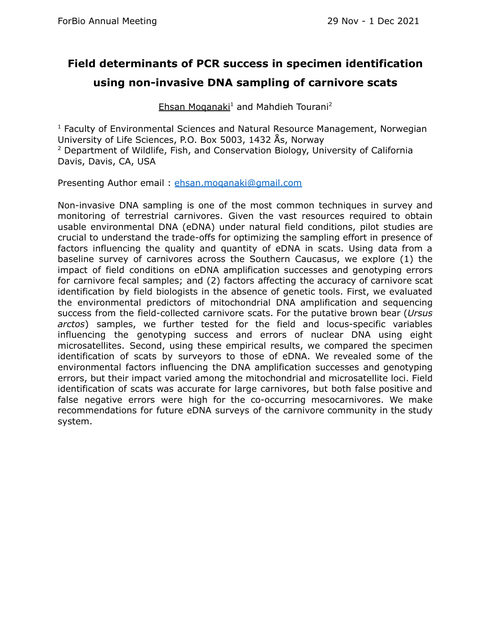# **Field determinants of PCR success in specimen identification using non-invasive DNA sampling of carnivore scats**

Ehsan Moganaki<sup>1</sup> and Mahdieh Tourani<sup>2</sup>

<sup>1</sup> Faculty of Environmental Sciences and Natural Resource Management, Norwegian University of Life Sciences, P.O. Box 5003, 1432 Ås, Norway <sup>2</sup> Department of Wildlife, Fish, and Conservation Biology, University of California Davis, Davis, CA, USA

Presenting Author email : [ehsan.moqanaki@gmail.com](mailto:ehsan.moqanaki@gmail.com)

Non-invasive DNA sampling is one of the most common techniques in survey and monitoring of terrestrial carnivores. Given the vast resources required to obtain usable environmental DNA (eDNA) under natural field conditions, pilot studies are crucial to understand the trade-offs for optimizing the sampling effort in presence of factors influencing the quality and quantity of eDNA in scats. Using data from a baseline survey of carnivores across the Southern Caucasus, we explore (1) the impact of field conditions on eDNA amplification successes and genotyping errors for carnivore fecal samples; and (2) factors affecting the accuracy of carnivore scat identification by field biologists in the absence of genetic tools. First, we evaluated the environmental predictors of mitochondrial DNA amplification and sequencing success from the field-collected carnivore scats. For the putative brown bear (*Ursus arctos*) samples, we further tested for the field and locus-specific variables influencing the genotyping success and errors of nuclear DNA using eight microsatellites. Second, using these empirical results, we compared the specimen identification of scats by surveyors to those of eDNA. We revealed some of the environmental factors influencing the DNA amplification successes and genotyping errors, but their impact varied among the mitochondrial and microsatellite loci. Field identification of scats was accurate for large carnivores, but both false positive and false negative errors were high for the co-occurring mesocarnivores. We make recommendations for future eDNA surveys of the carnivore community in the study system.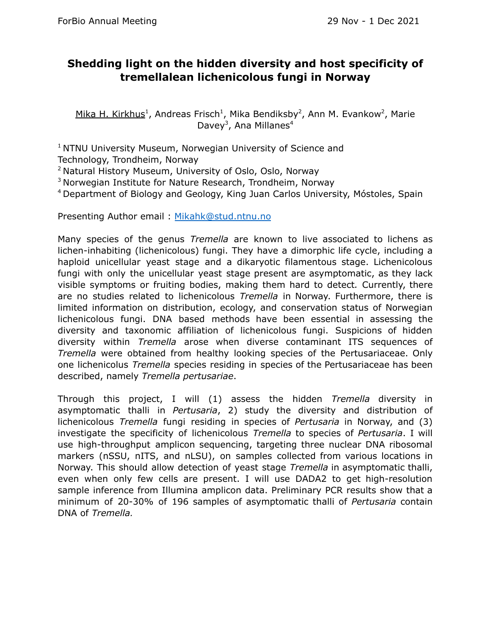#### **Shedding light on the hidden diversity and host specificity of tremellalean lichenicolous fungi in Norway**

Mika H. Kirkhus<sup>1</sup>, Andreas Frisch<sup>1</sup>, Mika Bendiksby<sup>2</sup>, Ann M. Evankow<sup>2</sup>, Marie Davey<sup>3</sup>, Ana Millanes<sup>4</sup>

<sup>1</sup> NTNU University Museum, Norwegian University of Science and

Technology, Trondheim, Norway

<sup>2</sup> Natural History Museum, University of Oslo, Oslo, Norway

<sup>3</sup> Norwegian Institute for Nature Research, Trondheim, Norway

<sup>4</sup> Department of Biology and Geology, King Juan Carlos University, Móstoles, Spain

Presenting Author email : [Mikahk@stud.ntnu.no](mailto:Mikahk@stud.ntnu.no)

Many species of the genus *Tremella* are known to live associated to lichens as lichen-inhabiting (lichenicolous) fungi. They have a dimorphic life cycle, including a haploid unicellular yeast stage and a dikaryotic filamentous stage. Lichenicolous fungi with only the unicellular yeast stage present are asymptomatic, as they lack visible symptoms or fruiting bodies, making them hard to detect*.* Currently, there are no studies related to lichenicolous *Tremella* in Norway. Furthermore, there is limited information on distribution, ecology, and conservation status of Norwegian lichenicolous fungi. DNA based methods have been essential in assessing the diversity and taxonomic affiliation of lichenicolous fungi. Suspicions of hidden diversity within *Tremella* arose when diverse contaminant ITS sequences of *Tremella* were obtained from healthy looking species of the Pertusariaceae. Only one lichenicolus *Tremella* species residing in species of the Pertusariaceae has been described, namely *Tremella pertusariae*.

Through this project, I will (1) assess the hidden *Tremella* diversity in asymptomatic thalli in *Pertusaria*, 2) study the diversity and distribution of lichenicolous *Tremella* fungi residing in species of *Pertusaria* in Norway, and (3) investigate the specificity of lichenicolous *Tremella* to species of *Pertusaria*. I will use high-throughput amplicon sequencing, targeting three nuclear DNA ribosomal markers (nSSU, nITS, and nLSU), on samples collected from various locations in Norway. This should allow detection of yeast stage *Tremella* in asymptomatic thalli, even when only few cells are present. I will use DADA2 to get high-resolution sample inference from Illumina amplicon data. Preliminary PCR results show that a minimum of 20-30% of 196 samples of asymptomatic thalli of *Pertusaria* contain DNA of *Tremella.*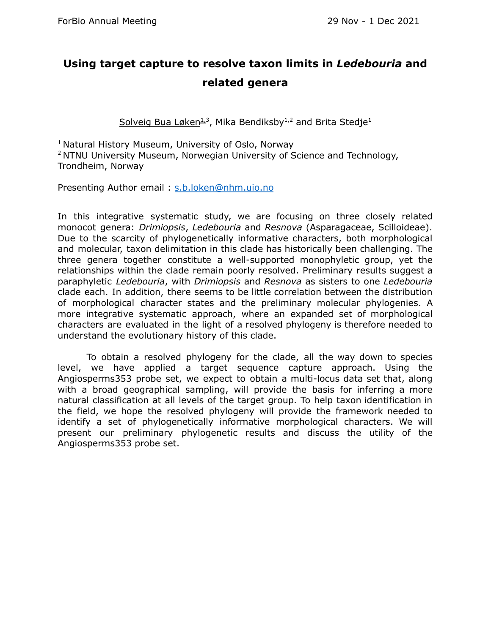### **Using target capture to resolve taxon limits in** *Ledebouria* **and related genera**

Solveig Bua Løken<sup>13</sup>, Mika Bendiksby<sup>1,2</sup> and Brita Stedje<sup>1</sup>

<sup>1</sup> Natural History Museum, University of Oslo, Norway

<sup>2</sup> NTNU University Museum, Norwegian University of Science and Technology, Trondheim, Norway

Presenting Author email : [s.b.loken@nhm.uio.no](mailto:s.b.loken@nhm.uio.no)

In this integrative systematic study, we are focusing on three closely related monocot genera: *Drimiopsis*, *Ledebouria* and *Resnova* (Asparagaceae, Scilloideae). Due to the scarcity of phylogenetically informative characters, both morphological and molecular, taxon delimitation in this clade has historically been challenging. The three genera together constitute a well-supported monophyletic group, yet the relationships within the clade remain poorly resolved. Preliminary results suggest a paraphyletic *Ledebouria*, with *Drimiopsis* and *Resnova* as sisters to one *Ledebouria* clade each. In addition, there seems to be little correlation between the distribution of morphological character states and the preliminary molecular phylogenies. A more integrative systematic approach, where an expanded set of morphological characters are evaluated in the light of a resolved phylogeny is therefore needed to understand the evolutionary history of this clade.

To obtain a resolved phylogeny for the clade, all the way down to species level, we have applied a target sequence capture approach. Using the Angiosperms353 probe set, we expect to obtain a multi-locus data set that, along with a broad geographical sampling, will provide the basis for inferring a more natural classification at all levels of the target group. To help taxon identification in the field, we hope the resolved phylogeny will provide the framework needed to identify a set of phylogenetically informative morphological characters. We will present our preliminary phylogenetic results and discuss the utility of the Angiosperms353 probe set.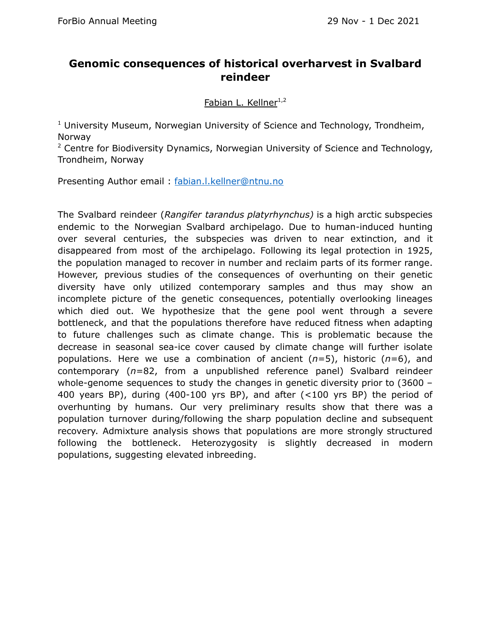#### **Genomic consequences of historical overharvest in Svalbard reindeer**

Fabian L. Kellner<sup>1,2</sup>

<sup>1</sup> University Museum, Norwegian University of Science and Technology, Trondheim, Norway

<sup>2</sup> Centre for Biodiversity Dynamics, Norwegian University of Science and Technology, Trondheim, Norway

Presenting Author email : [fabian.l.kellner@ntnu.no](mailto:fabian.l.kellner@ntnu.no)

The Svalbard reindeer (*Rangifer tarandus platyrhynchus)* is a high arctic subspecies endemic to the Norwegian Svalbard archipelago. Due to human-induced hunting over several centuries, the subspecies was driven to near extinction, and it disappeared from most of the archipelago. Following its legal protection in 1925, the population managed to recover in number and reclaim parts of its former range. However, previous studies of the consequences of overhunting on their genetic diversity have only utilized contemporary samples and thus may show an incomplete picture of the genetic consequences, potentially overlooking lineages which died out. We hypothesize that the gene pool went through a severe bottleneck, and that the populations therefore have reduced fitness when adapting to future challenges such as climate change. This is problematic because the decrease in seasonal sea-ice cover caused by climate change will further isolate populations. Here we use a combination of ancient (*n*=5), historic (*n*=6), and contemporary (*n*=82, from a unpublished reference panel) Svalbard reindeer whole-genome sequences to study the changes in genetic diversity prior to (3600 – 400 years BP), during (400-100 yrs BP), and after (<100 yrs BP) the period of overhunting by humans. Our very preliminary results show that there was a population turnover during/following the sharp population decline and subsequent recovery. Admixture analysis shows that populations are more strongly structured following the bottleneck. Heterozygosity is slightly decreased in modern populations, suggesting elevated inbreeding.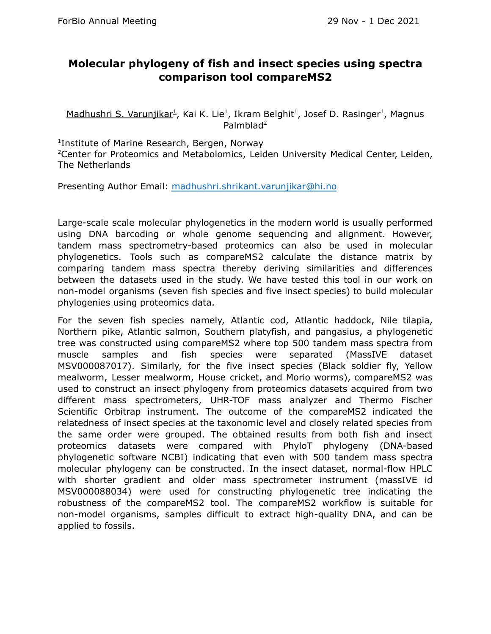#### **Molecular phylogeny of fish and insect species using spectra comparison tool compareMS2**

Madhushri S. Varunjikar<sup>1</sup>, Kai K. Lie<sup>1</sup>, Ikram Belghit<sup>1</sup>, Josef D. Rasinger<sup>1</sup>, Magnus Palmblad 2

<sup>1</sup>Institute of Marine Research, Bergen, Norway

<sup>2</sup>Center for Proteomics and Metabolomics, Leiden University Medical Center, Leiden, The Netherlands

Presenting Author Email: [madhushri.shrikant.varunjikar@hi.no](mailto:madhushri.shrikant.varunjikar@hi.no)

Large-scale scale molecular phylogenetics in the modern world is usually performed using DNA barcoding or whole genome sequencing and alignment. However, tandem mass spectrometry-based proteomics can also be used in molecular phylogenetics. Tools such as compareMS2 calculate the distance matrix by comparing tandem mass spectra thereby deriving similarities and differences between the datasets used in the study. We have tested this tool in our work on non-model organisms (seven fish species and five insect species) to build molecular phylogenies using proteomics data.

For the seven fish species namely, Atlantic cod, Atlantic haddock, Nile tilapia, Northern pike, Atlantic salmon, Southern platyfish, and pangasius, a phylogenetic tree was constructed using compareMS2 where top 500 tandem mass spectra from muscle samples and fish species were separated (MassIVE dataset MSV000087017). Similarly, for the five insect species (Black soldier fly, Yellow mealworm, Lesser mealworm, House cricket, and Morio worms), compareMS2 was used to construct an insect phylogeny from proteomics datasets acquired from two different mass spectrometers, UHR-TOF mass analyzer and Thermo Fischer Scientific Orbitrap instrument. The outcome of the compareMS2 indicated the relatedness of insect species at the taxonomic level and closely related species from the same order were grouped. The obtained results from both fish and insect proteomics datasets were compared with PhyloT phylogeny (DNA-based phylogenetic software NCBI) indicating that even with 500 tandem mass spectra molecular phylogeny can be constructed. In the insect dataset, normal-flow HPLC with shorter gradient and older mass spectrometer instrument (massIVE id MSV000088034) were used for constructing phylogenetic tree indicating the robustness of the compareMS2 tool. The compareMS2 workflow is suitable for non-model organisms, samples difficult to extract high-quality DNA, and can be applied to fossils.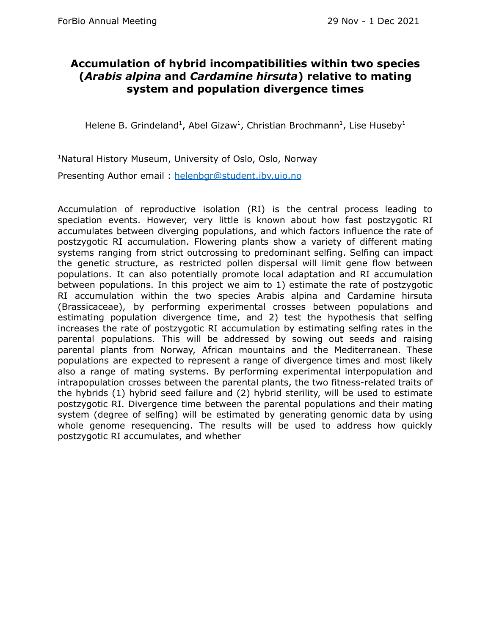#### **Accumulation of hybrid incompatibilities within two species (***Arabis alpina* **and** *Cardamine hirsuta***) relative to mating system and population divergence times**

Helene B. Grindeland<sup>1</sup>, Abel Gizaw<sup>1</sup>, Christian Brochmann<sup>1</sup>, Lise Huseby<sup>1</sup>

<sup>1</sup>Natural History Museum, University of Oslo, Oslo, Norway

Presenting Author email : [helenbgr@student.ibv.uio.no](mailto:helenbgr@student.ibv.uio.no)

Accumulation of reproductive isolation (RI) is the central process leading to speciation events. However, very little is known about how fast postzygotic RI accumulates between diverging populations, and which factors influence the rate of postzygotic RI accumulation. Flowering plants show a variety of different mating systems ranging from strict outcrossing to predominant selfing. Selfing can impact the genetic structure, as restricted pollen dispersal will limit gene flow between populations. It can also potentially promote local adaptation and RI accumulation between populations. In this project we aim to 1) estimate the rate of postzygotic RI accumulation within the two species Arabis alpina and Cardamine hirsuta (Brassicaceae), by performing experimental crosses between populations and estimating population divergence time, and 2) test the hypothesis that selfing increases the rate of postzygotic RI accumulation by estimating selfing rates in the parental populations. This will be addressed by sowing out seeds and raising parental plants from Norway, African mountains and the Mediterranean. These populations are expected to represent a range of divergence times and most likely also a range of mating systems. By performing experimental interpopulation and intrapopulation crosses between the parental plants, the two fitness-related traits of the hybrids (1) hybrid seed failure and (2) hybrid sterility, will be used to estimate postzygotic RI. Divergence time between the parental populations and their mating system (degree of selfing) will be estimated by generating genomic data by using whole genome resequencing. The results will be used to address how quickly postzygotic RI accumulates, and whether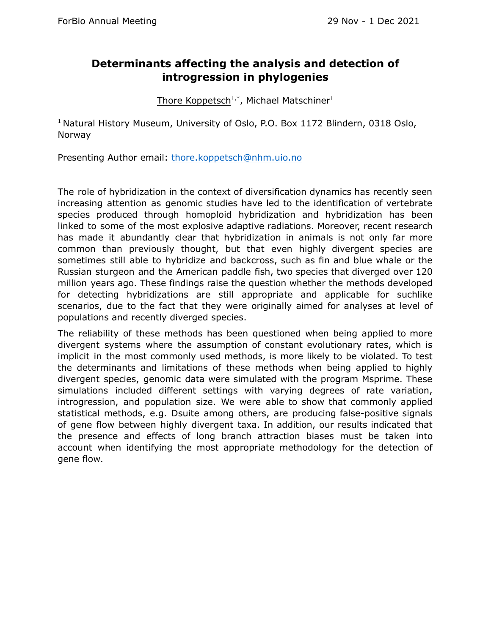#### **Determinants affecting the analysis and detection of introgression in phylogenies**

Thore Koppetsch<sup>1,\*</sup>, Michael Matschiner<sup>1</sup>

<sup>1</sup> Natural History Museum, University of Oslo, P.O. Box 1172 Blindern, 0318 Oslo, Norway

Presenting Author email: [thore.koppetsch@nhm.uio.no](mailto:thore.koppetsch@nhm.uio.no)

The role of hybridization in the context of diversification dynamics has recently seen increasing attention as genomic studies have led to the identification of vertebrate species produced through homoploid hybridization and hybridization has been linked to some of the most explosive adaptive radiations. Moreover, recent research has made it abundantly clear that hybridization in animals is not only far more common than previously thought, but that even highly divergent species are sometimes still able to hybridize and backcross, such as fin and blue whale or the Russian sturgeon and the American paddle fish, two species that diverged over 120 million years ago. These findings raise the question whether the methods developed for detecting hybridizations are still appropriate and applicable for suchlike scenarios, due to the fact that they were originally aimed for analyses at level of populations and recently diverged species.

The reliability of these methods has been questioned when being applied to more divergent systems where the assumption of constant evolutionary rates, which is implicit in the most commonly used methods, is more likely to be violated. To test the determinants and limitations of these methods when being applied to highly divergent species, genomic data were simulated with the program Msprime. These simulations included different settings with varying degrees of rate variation, introgression, and population size. We were able to show that commonly applied statistical methods, e.g. Dsuite among others, are producing false-positive signals of gene flow between highly divergent taxa. In addition, our results indicated that the presence and effects of long branch attraction biases must be taken into account when identifying the most appropriate methodology for the detection of gene flow.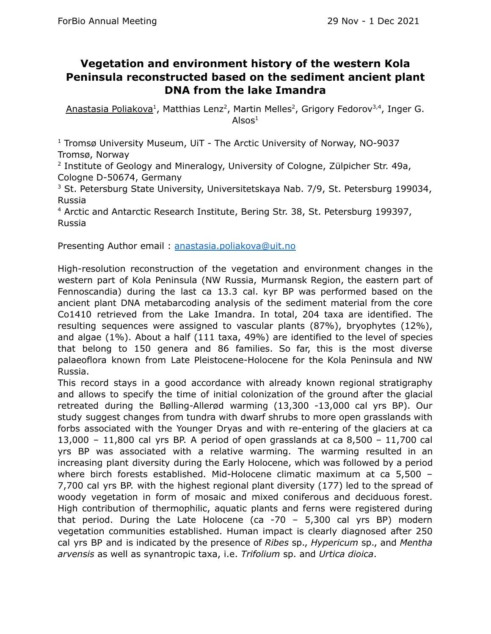#### **Vegetation and environment history of the western Kola Peninsula reconstructed based on the sediment ancient plant DNA from the lake Imandra**

Anastasia Poliakova<sup>1</sup>, Matthias Lenz<sup>2</sup>, Martin Melles<sup>2</sup>, Grigory Fedorov<sup>3,4</sup>, Inger G. Alsos $^1$ 

<sup>1</sup> Tromsø University Museum, UiT - The Arctic University of Norway, NO-9037 Tromsø, Norway

<sup>2</sup> Institute of Geology and Mineralogy, University of Cologne, Zülpicher Str. 49a, Cologne D-50674, Germany

<sup>3</sup> St. Petersburg State University, Universitetskaya Nab. 7/9, St. Petersburg 199034, Russia

<sup>4</sup> Arctic and Antarctic Research Institute, Bering Str. 38, St. Petersburg 199397, Russia

Presenting Author email : [anastasia.poliakova@uit.no](mailto:anastasia.poliakova@uit.no)

High-resolution reconstruction of the vegetation and environment changes in the western part of Kola Peninsula (NW Russia, Murmansk Region, the eastern part of Fennoscandia) during the last ca 13.3 cal. kyr BP was performed based on the ancient plant DNA metabarcoding analysis of the sediment material from the core Co1410 retrieved from the Lake Imandra. In total, 204 taxa are identified. The resulting sequences were assigned to vascular plants (87%), bryophytes (12%), and algae (1%). About a half (111 taxa, 49%) are identified to the level of species that belong to 150 genera and 86 families. So far, this is the most diverse palaeoflora known from Late Pleistocene-Holocene for the Kola Peninsula and NW Russia.

This record stays in a good accordance with already known regional stratigraphy and allows to specify the time of initial colonization of the ground after the glacial retreated during the Bølling-Allerød warming (13,300 -13,000 cal yrs BP). Our study suggest changes from tundra with dwarf shrubs to more open grasslands with forbs associated with the Younger Dryas and with re-entering of the glaciers at ca 13,000 – 11,800 cal yrs BP. A period of open grasslands at ca 8,500 – 11,700 cal yrs BP was associated with a relative warming. The warming resulted in an increasing plant diversity during the Early Holocene, which was followed by a period where birch forests established. Mid-Holocene climatic maximum at ca 5,500 – 7,700 cal yrs BP. with the highest regional plant diversity (177) led to the spread of woody vegetation in form of mosaic and mixed coniferous and deciduous forest. High contribution of thermophilic, aquatic plants and ferns were registered during that period. During the Late Holocene (ca  $-70 - 5,300$  cal yrs BP) modern vegetation communities established. Human impact is clearly diagnosed after 250 cal yrs BP and is indicated by the presence of *Ribes* sp., *Hypericum* sp., and *Mentha arvensis* as well as synantropic taxa, i.e. *Trifolium* sp. and *Urtica dioica*.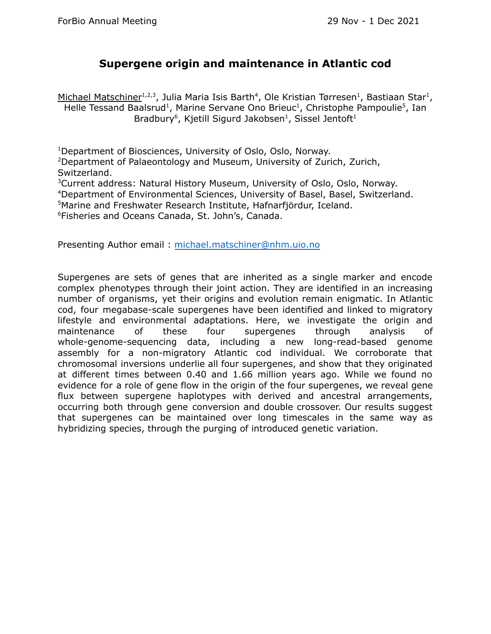#### **Supergene origin and maintenance in Atlantic cod**

Michael Matschiner<sup>1,2,3</sup>, Julia Maria Isis Barth<sup>4</sup>, Ole Kristian Tørresen<sup>1</sup>, Bastiaan Star<sup>1</sup>, Helle Tessand Baalsrud<sup>1</sup>, Marine Servane Ono Brieuc<sup>1</sup>, Christophe Pampoulie<sup>5</sup>, Ian Bradbury<sup>6</sup>, Kjetill Sigurd Jakobsen<sup>1</sup>, Sissel Jentoft<sup>1</sup>

<sup>1</sup>Department of Biosciences, University of Oslo, Oslo, Norway. <sup>2</sup>Department of Palaeontology and Museum, University of Zurich, Zurich, Switzerland.

Current address: Natural History Museum, University of Oslo, Oslo, Norway. Department of Environmental Sciences, University of Basel, Basel, Switzerland. Marine and Freshwater Research Institute, Hafnarfjördur, Iceland. Fisheries and Oceans Canada, St. John's, Canada.

Presenting Author email : [michael.matschiner@nhm.uio.no](mailto:michael.matschiner@nhm.uio.no)

Supergenes are sets of genes that are inherited as a single marker and encode complex phenotypes through their joint action. They are identified in an increasing number of organisms, yet their origins and evolution remain enigmatic. In Atlantic cod, four megabase-scale supergenes have been identified and linked to migratory lifestyle and environmental adaptations. Here, we investigate the origin and maintenance of these four supergenes through analysis of whole-genome-sequencing data, including a new long-read-based genome assembly for a non-migratory Atlantic cod individual. We corroborate that chromosomal inversions underlie all four supergenes, and show that they originated at different times between 0.40 and 1.66 million years ago. While we found no evidence for a role of gene flow in the origin of the four supergenes, we reveal gene flux between supergene haplotypes with derived and ancestral arrangements, occurring both through gene conversion and double crossover. Our results suggest that supergenes can be maintained over long timescales in the same way as hybridizing species, through the purging of introduced genetic variation.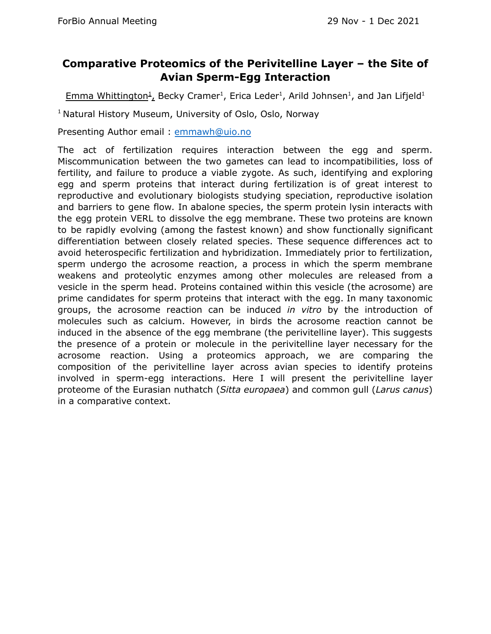#### **Comparative Proteomics of the Perivitelline Layer – the Site of Avian Sperm-Egg Interaction**

 $Emma Whittington<sup>1</sup>_{L}$  Becky Cramer<sup>1</sup>, Erica Leder<sup>1</sup>, Arild Johnsen<sup>1</sup>, and Jan Lifjeld<sup>1</sup>

<sup>1</sup> Natural History Museum, University of Oslo, Oslo, Norway

Presenting Author email : [emmawh@uio.no](mailto:emmawh@uio.no)

The act of fertilization requires interaction between the egg and sperm. Miscommunication between the two gametes can lead to incompatibilities, loss of fertility, and failure to produce a viable zygote. As such, identifying and exploring egg and sperm proteins that interact during fertilization is of great interest to reproductive and evolutionary biologists studying speciation, reproductive isolation and barriers to gene flow. In abalone species, the sperm protein lysin interacts with the egg protein VERL to dissolve the egg membrane. These two proteins are known to be rapidly evolving (among the fastest known) and show functionally significant differentiation between closely related species. These sequence differences act to avoid heterospecific fertilization and hybridization. Immediately prior to fertilization, sperm undergo the acrosome reaction, a process in which the sperm membrane weakens and proteolytic enzymes among other molecules are released from a vesicle in the sperm head. Proteins contained within this vesicle (the acrosome) are prime candidates for sperm proteins that interact with the egg. In many taxonomic groups, the acrosome reaction can be induced *in vitro* by the introduction of molecules such as calcium. However, in birds the acrosome reaction cannot be induced in the absence of the egg membrane (the perivitelline layer). This suggests the presence of a protein or molecule in the perivitelline layer necessary for the acrosome reaction. Using a proteomics approach, we are comparing the composition of the perivitelline layer across avian species to identify proteins involved in sperm-egg interactions. Here I will present the perivitelline layer proteome of the Eurasian nuthatch (*Sitta europaea*) and common gull (*Larus canus*) in a comparative context.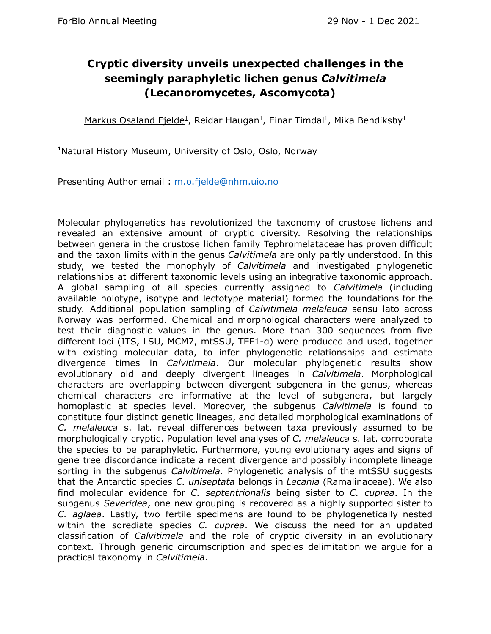#### **Cryptic diversity unveils unexpected challenges in the seemingly paraphyletic lichen genus** *Calvitimela* **(Lecanoromycetes, Ascomycota)**

Markus Osaland Fjelde<sup>1</sup>, Reidar Haugan<sup>1</sup>, Einar Timdal<sup>1</sup>, Mika Bendiksby<sup>1</sup>

<sup>1</sup>Natural History Museum, University of Oslo, Oslo, Norway

Presenting Author email : [m.o.fjelde@nhm.uio.no](mailto:m.o.fjelde@nhm.uio.no)

Molecular phylogenetics has revolutionized the taxonomy of crustose lichens and revealed an extensive amount of cryptic diversity. Resolving the relationships between genera in the crustose lichen family Tephromelataceae has proven difficult and the taxon limits within the genus *Calvitimela* are only partly understood. In this study, we tested the monophyly of *Calvitimela* and investigated phylogenetic relationships at different taxonomic levels using an integrative taxonomic approach. A global sampling of all species currently assigned to *Calvitimela* (including available holotype, isotype and lectotype material) formed the foundations for the study. Additional population sampling of *Calvitimela melaleuca* sensu lato across Norway was performed. Chemical and morphological characters were analyzed to test their diagnostic values in the genus. More than 300 sequences from five different loci (ITS, LSU, MCM7, mtSSU, TEF1-α) were produced and used, together with existing molecular data, to infer phylogenetic relationships and estimate divergence times in *Calvitimela*. Our molecular phylogenetic results show evolutionary old and deeply divergent lineages in *Calvitimela*. Morphological characters are overlapping between divergent subgenera in the genus, whereas chemical characters are informative at the level of subgenera, but largely homoplastic at species level. Moreover, the subgenus *Calvitimela* is found to constitute four distinct genetic lineages, and detailed morphological examinations of *C. melaleuca* s. lat. reveal differences between taxa previously assumed to be morphologically cryptic. Population level analyses of *C. melaleuca* s. lat. corroborate the species to be paraphyletic. Furthermore, young evolutionary ages and signs of gene tree discordance indicate a recent divergence and possibly incomplete lineage sorting in the subgenus *Calvitimela*. Phylogenetic analysis of the mtSSU suggests that the Antarctic species *C. uniseptata* belongs in *Lecania* (Ramalinaceae). We also find molecular evidence for *C. septentrionalis* being sister to *C. cuprea*. In the subgenus *Severidea*, one new grouping is recovered as a highly supported sister to *C. aglaea*. Lastly, two fertile specimens are found to be phylogenetically nested within the sorediate species *C. cuprea*. We discuss the need for an updated classification of *Calvitimela* and the role of cryptic diversity in an evolutionary context. Through generic circumscription and species delimitation we argue for a practical taxonomy in *Calvitimela*.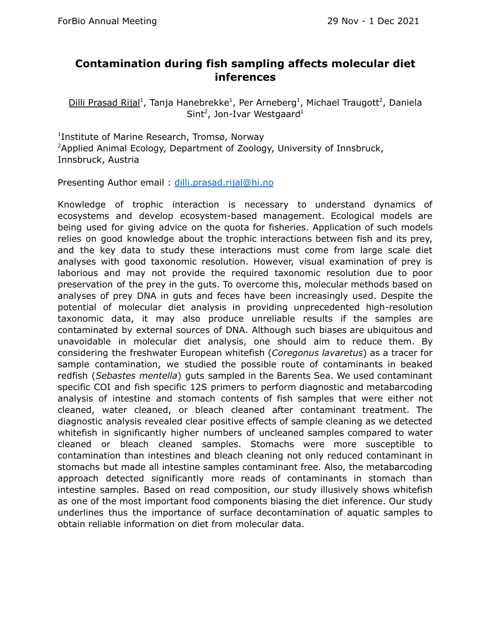#### **Contamination during fish sampling affects molecular diet inferences**

Dilli Prasad Rijal<sup>1</sup>, Tanja Hanebrekke<sup>1</sup>, Per Arneberg<sup>1</sup>, Michael Traugott<sup>2</sup>, Daniela Sint<sup>2</sup>, Jon-Ivar Westgaard<sup>1</sup>

<sup>1</sup>Institute of Marine Research, Tromsø, Norway <sup>2</sup>Applied Animal Ecology, Department of Zoology, University of Innsbruck, Innsbruck, Austria

Presenting Author email : [dilli.prasad.rijal@hi.no](mailto:dilli.prasad.rijal@hi.no)

Knowledge of trophic interaction is necessary to understand dynamics of ecosystems and develop ecosystem-based management. Ecological models are being used for giving advice on the quota for fisheries. Application of such models relies on good knowledge about the trophic interactions between fish and its prey, and the key data to study these interactions must come from large scale diet analyses with good taxonomic resolution. However, visual examination of prey is laborious and may not provide the required taxonomic resolution due to poor preservation of the prey in the guts. To overcome this, molecular methods based on analyses of prey DNA in guts and feces have been increasingly used. Despite the potential of molecular diet analysis in providing unprecedented high-resolution taxonomic data, it may also produce unreliable results if the samples are contaminated by external sources of DNA. Although such biases are ubiquitous and unavoidable in molecular diet analysis, one should aim to reduce them. By considering the freshwater European whitefish (*Coregonus lavaretus*) as a tracer for sample contamination, we studied the possible route of contaminants in beaked redfish (*Sebastes mentella*) guts sampled in the Barents Sea. We used contaminant specific COI and fish specific 12S primers to perform diagnostic and metabarcoding analysis of intestine and stomach contents of fish samples that were either not cleaned, water cleaned, or bleach cleaned after contaminant treatment. The diagnostic analysis revealed clear positive effects of sample cleaning as we detected whitefish in significantly higher numbers of uncleaned samples compared to water cleaned or bleach cleaned samples. Stomachs were more susceptible to contamination than intestines and bleach cleaning not only reduced contaminant in stomachs but made all intestine samples contaminant free. Also, the metabarcoding approach detected significantly more reads of contaminants in stomach than intestine samples. Based on read composition, our study illusively shows whitefish as one of the most important food components biasing the diet inference. Our study underlines thus the importance of surface decontamination of aquatic samples to obtain reliable information on diet from molecular data.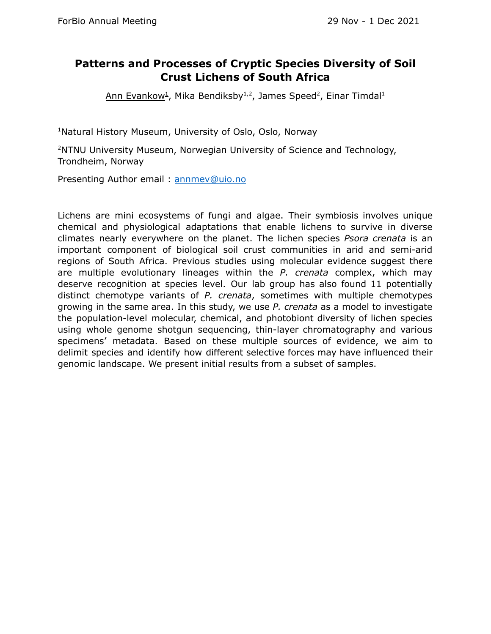#### **Patterns and Processes of Cryptic Species Diversity of Soil Crust Lichens of South Africa**

Ann Evankow<sup>1</sup>, Mika Bendiksby<sup>1,2</sup>, James Speed<sup>2</sup>, Einar Timdal<sup>1</sup>

<sup>1</sup>Natural History Museum, University of Oslo, Oslo, Norway

<sup>2</sup>NTNU University Museum, Norwegian University of Science and Technology, Trondheim, Norway

Presenting Author email : [annmev@uio.no](mailto:annmev@uio.no)

Lichens are mini ecosystems of fungi and algae. Their symbiosis involves unique chemical and physiological adaptations that enable lichens to survive in diverse climates nearly everywhere on the planet. The lichen species *Psora crenata* is an important component of biological soil crust communities in arid and semi-arid regions of South Africa. Previous studies using molecular evidence suggest there are multiple evolutionary lineages within the *P. crenata* complex, which may deserve recognition at species level. Our lab group has also found 11 potentially distinct chemotype variants of *P. crenata*, sometimes with multiple chemotypes growing in the same area. In this study, we use *P. crenata* as a model to investigate the population-level molecular, chemical, and photobiont diversity of lichen species using whole genome shotgun sequencing, thin-layer chromatography and various specimens' metadata. Based on these multiple sources of evidence, we aim to delimit species and identify how different selective forces may have influenced their genomic landscape. We present initial results from a subset of samples.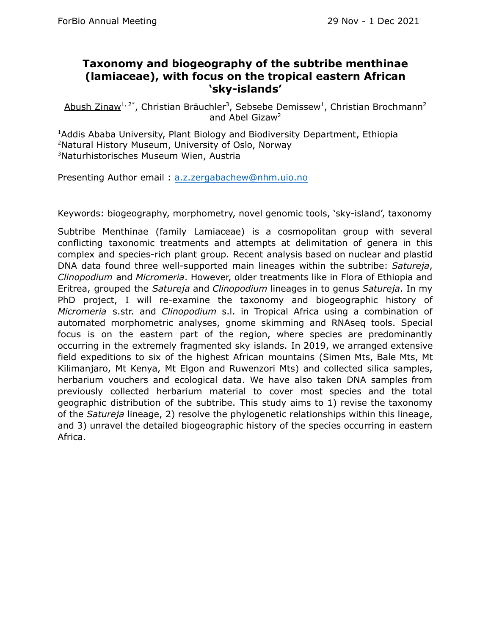#### **Taxonomy and biogeography of the subtribe menthinae (lamiaceae), with focus on the tropical eastern African 'sky-islands'**

Abush Zinaw<sup>1, 2\*</sup>, Christian Bräuchler<sup>3</sup>, Sebsebe Demissew<sup>1</sup>, Christian Brochmann<sup>2</sup> and Abel Gizaw<sup>2</sup>

<sup>1</sup>Addis Ababa University, Plant Biology and Biodiversity Department, Ethiopia <sup>2</sup>Natural History Museum, University of Oslo, Norway <sup>3</sup>Naturhistorisches Museum Wien, Austria

Presenting Author email : [a.z.zergabachew@nhm.uio.no](mailto:a.z.zergabachew@nhm.uio.no)

Keywords: biogeography, morphometry, novel genomic tools, 'sky-island', taxonomy

Subtribe Menthinae (family Lamiaceae) is a cosmopolitan group with several conflicting taxonomic treatments and attempts at delimitation of genera in this complex and species-rich plant group. Recent analysis based on nuclear and plastid DNA data found three well-supported main lineages within the subtribe: *Satureja*, *Clinopodium* and *Micromeria*. However, older treatments like in Flora of Ethiopia and Eritrea, grouped the *Satureja* and *Clinopodium* lineages in to genus *Satureja*. In my PhD project, I will re-examine the taxonomy and biogeographic history of *Micromeria* s.str. and *Clinopodium* s.l. in Tropical Africa using a combination of automated morphometric analyses, gnome skimming and RNAseq tools. Special focus is on the eastern part of the region, where species are predominantly occurring in the extremely fragmented sky islands. In 2019, we arranged extensive field expeditions to six of the highest African mountains (Simen Mts, Bale Mts, Mt Kilimanjaro, Mt Kenya, Mt Elgon and Ruwenzori Mts) and collected silica samples, herbarium vouchers and ecological data. We have also taken DNA samples from previously collected herbarium material to cover most species and the total geographic distribution of the subtribe. This study aims to 1) revise the taxonomy of the *Satureja* lineage, 2) resolve the phylogenetic relationships within this lineage, and 3) unravel the detailed biogeographic history of the species occurring in eastern Africa.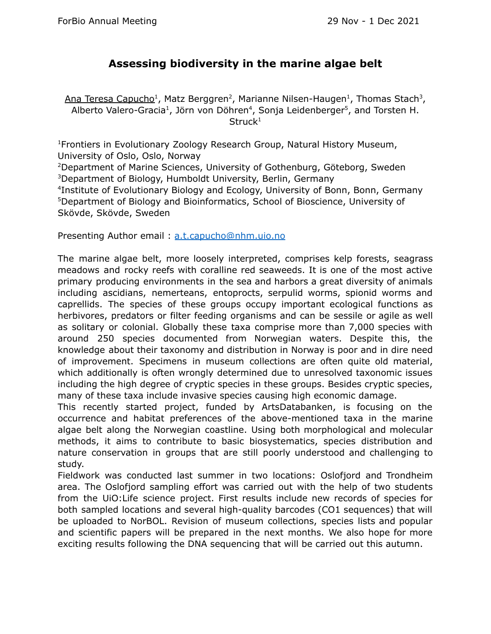#### **Assessing biodiversity in the marine algae belt**

Ana Teresa Capucho<sup>1</sup>, Matz Berggren<sup>2</sup>, Marianne Nilsen-Haugen<sup>1</sup>, Thomas Stach<sup>3</sup>, Alberto Valero-Gracia<sup>1</sup>, Jörn von Döhren<sup>4</sup>, Sonja Leidenberger<sup>5</sup>, and Torsten H. Struck<sup>1</sup>

Frontiers in Evolutionary Zoology Research Group, Natural History Museum, University of Oslo, Oslo, Norway Department of Marine Sciences, University of Gothenburg, Göteborg, Sweden Department of Biology, Humboldt University, Berlin, Germany Institute of Evolutionary Biology and Ecology, University of Bonn, Bonn, Germany Department of Biology and Bioinformatics, School of Bioscience, University of Skövde, Skövde, Sweden

Presenting Author email: [a.t.capucho@nhm.uio.no](mailto:a.t.capucho@nhm.uio.no)

The marine algae belt, more loosely interpreted, comprises kelp forests, seagrass meadows and rocky reefs with coralline red seaweeds. It is one of the most active primary producing environments in the sea and harbors a great diversity of animals including ascidians, nemerteans, entoprocts, serpulid worms, spionid worms and caprellids. The species of these groups occupy important ecological functions as herbivores, predators or filter feeding organisms and can be sessile or agile as well as solitary or colonial. Globally these taxa comprise more than 7,000 species with around 250 species documented from Norwegian waters. Despite this, the knowledge about their taxonomy and distribution in Norway is poor and in dire need of improvement. Specimens in museum collections are often quite old material, which additionally is often wrongly determined due to unresolved taxonomic issues including the high degree of cryptic species in these groups. Besides cryptic species, many of these taxa include invasive species causing high economic damage.

This recently started project, funded by ArtsDatabanken, is focusing on the occurrence and habitat preferences of the above-mentioned taxa in the marine algae belt along the Norwegian coastline. Using both morphological and molecular methods, it aims to contribute to basic biosystematics, species distribution and nature conservation in groups that are still poorly understood and challenging to study.

Fieldwork was conducted last summer in two locations: Oslofjord and Trondheim area. The Oslofjord sampling effort was carried out with the help of two students from the UiO:Life science project. First results include new records of species for both sampled locations and several high-quality barcodes (CO1 sequences) that will be uploaded to NorBOL. Revision of museum collections, species lists and popular and scientific papers will be prepared in the next months. We also hope for more exciting results following the DNA sequencing that will be carried out this autumn.